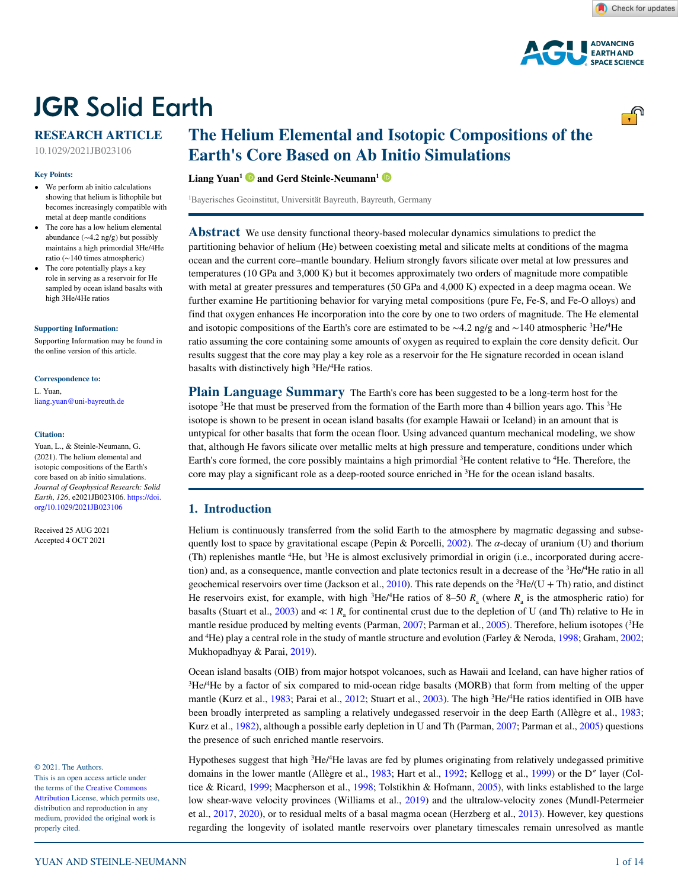

# **JGR Solid Earth**

# **RESEARCH ARTICLE**

10.1029/2021JB023106

#### **Key Points:**

- We perform ab initio calculations showing that helium is lithophile but becomes increasingly compatible with metal at deep mantle conditions
- The core has a low helium elemental abundance (∼4.2 ng/g) but possibly maintains a high primordial 3He/4He ratio (∼140 times atmospheric)
- The core potentially plays a key role in serving as a reservoir for He sampled by ocean island basalts with high 3He/4He ratios

#### **[Supporting Information:](https://doi.org/10.1029/2021JB023106)**

[Supporting Information may be found in](https://doi.org/10.1029/2021JB023106)  [the online version of this article.](https://doi.org/10.1029/2021JB023106)

#### **Correspondence to:**

L. Yuan, liang.yuan@uni-bayreuth.de

#### **Citation:**

Yuan, L., & Steinle-Neumann, G. (2021). The helium elemental and isotopic compositions of the Earth's core based on ab initio simulations. *Journal of Geophysical Research: Solid Earth*, *126*, e2021JB023106. [https://doi.](https://doi.org/10.1029/2021JB023106) [org/10.1029/2021JB023106](https://doi.org/10.1029/2021JB023106)

Received 25 AUG 2021 Accepted 4 OCT 2021

#### © 2021. The Authors.

This is an open access article under the terms of the [Creative Commons](http://creativecommons.org/licenses/by/4.0/)  [Attribution](http://creativecommons.org/licenses/by/4.0/) License, which permits use, distribution and reproduction in any medium, provided the original work is properly cited.

# **The Helium Elemental and Isotopic Compositions of the Earth's Core Based on Ab Initio Simulations**

**Liang Yuan[1](https://orcid.org/0000-0002-5512-8293) and Gerd Steinle-Neumann[1](https://orcid.org/0000-0001-7455-6149)**

1 Bayerisches Geoinstitut, Universität Bayreuth, Bayreuth, Germany

**Abstract** We use density functional theory-based molecular dynamics simulations to predict the partitioning behavior of helium (He) between coexisting metal and silicate melts at conditions of the magma ocean and the current core–mantle boundary. Helium strongly favors silicate over metal at low pressures and temperatures (10 GPa and 3,000 K) but it becomes approximately two orders of magnitude more compatible with metal at greater pressures and temperatures (50 GPa and 4,000 K) expected in a deep magma ocean. We further examine He partitioning behavior for varying metal compositions (pure Fe, Fe-S, and Fe-O alloys) and find that oxygen enhances He incorporation into the core by one to two orders of magnitude. The He elemental and isotopic compositions of the Earth's core are estimated to be  $\sim$ 4.2 ng/g and  $\sim$ 140 atmospheric <sup>3</sup>He/<sup>4</sup>He ratio assuming the core containing some amounts of oxygen as required to explain the core density deficit. Our results suggest that the core may play a key role as a reservoir for the He signature recorded in ocean island basalts with distinctively high 3 He/4 He ratios.

**Plain Language Summary** The Earth's core has been suggested to be a long-term host for the isotope <sup>3</sup>He that must be preserved from the formation of the Earth more than 4 billion years ago. This <sup>3</sup>He isotope is shown to be present in ocean island basalts (for example Hawaii or Iceland) in an amount that is untypical for other basalts that form the ocean floor. Using advanced quantum mechanical modeling, we show that, although He favors silicate over metallic melts at high pressure and temperature, conditions under which Earth's core formed, the core possibly maintains a high primordial <sup>3</sup>He content relative to <sup>4</sup>He. Therefore, the core may play a significant role as a deep-rooted source enriched in 3 He for the ocean island basalts.

# **1. Introduction**

Helium is continuously transferred from the solid Earth to the atmosphere by magmatic degassing and subse-quently lost to space by gravitational escape (Pepin & Porcelli, [2002](#page-11-0)). The  $\alpha$ -decay of uranium (U) and thorium (Th) replenishes mantle <sup>4</sup>He, but <sup>3</sup>He is almost exclusively primordial in origin (i.e., incorporated during accretion) and, as a consequence, mantle convection and plate tectonics result in a decrease of the <sup>3</sup>He/<sup>4</sup>He ratio in all geochemical reservoirs over time (Jackson et al., [2010\)](#page-10-0). This rate depends on the  ${}^{3}$ He/(U + Th) ratio, and distinct He reservoirs exist, for example, with high  ${}^{3}$ He/<sup>4</sup>He ratios of 8–50  $R_{a}$  (where  $R_{a}$  is the atmospheric ratio) for basalts (Stuart et al., [2003](#page-12-0)) and  $\ll 1$  *R*<sub>a</sub> for continental crust due to the depletion of U (and Th) relative to He in mantle residue produced by melting events (Parman, [2007](#page-11-1); Parman et al., [2005\)](#page-11-2). Therefore, helium isotopes (<sup>3</sup>He and <sup>4</sup>He) play a central role in the study of mantle structure and evolution (Farley & Neroda, [1998;](#page-10-1) Graham, [2002](#page-10-2); Mukhopadhyay & Parai, [2019](#page-11-3)).

Ocean island basalts (OIB) from major hotspot volcanoes, such as Hawaii and Iceland, can have higher ratios of <sup>3</sup>He/<sup>4</sup>He by a factor of six compared to mid-ocean ridge basalts (MORB) that form from melting of the upper mantle (Kurz et al., [1983;](#page-10-3) Parai et al., [2012;](#page-11-4) Stuart et al., [2003\)](#page-12-0). The high <sup>3</sup>He/<sup>4</sup>He ratios identified in OIB have been broadly interpreted as sampling a relatively undegassed reservoir in the deep Earth (Allègre et al., [1983](#page-9-0); Kurz et al., [1982\)](#page-10-4), although a possible early depletion in U and Th (Parman, [2007](#page-11-1); Parman et al., [2005\)](#page-11-2) questions the presence of such enriched mantle reservoirs.

Hypotheses suggest that high <sup>3</sup>He/<sup>4</sup>He lavas are fed by plumes originating from relatively undegassed primitive domains in the lower mantle (Allègre et al., [1983;](#page-9-0) Hart et al., [1992;](#page-10-5) Kellogg et al., [1999\)](#page-10-6) or the D″ layer (Coltice & Ricard, [1999;](#page-10-7) Macpherson et al., [1998;](#page-11-5) Tolstikhin & Hofmann, [2005](#page-12-1)), with links established to the large low shear-wave velocity provinces (Williams et al., [2019](#page-13-0)) and the ultralow-velocity zones (Mundl-Petermeier et al., [2017](#page-11-6), [2020\)](#page-11-7), or to residual melts of a basal magma ocean (Herzberg et al., [2013\)](#page-10-8). However, key questions regarding the longevity of isolated mantle reservoirs over planetary timescales remain unresolved as mantle

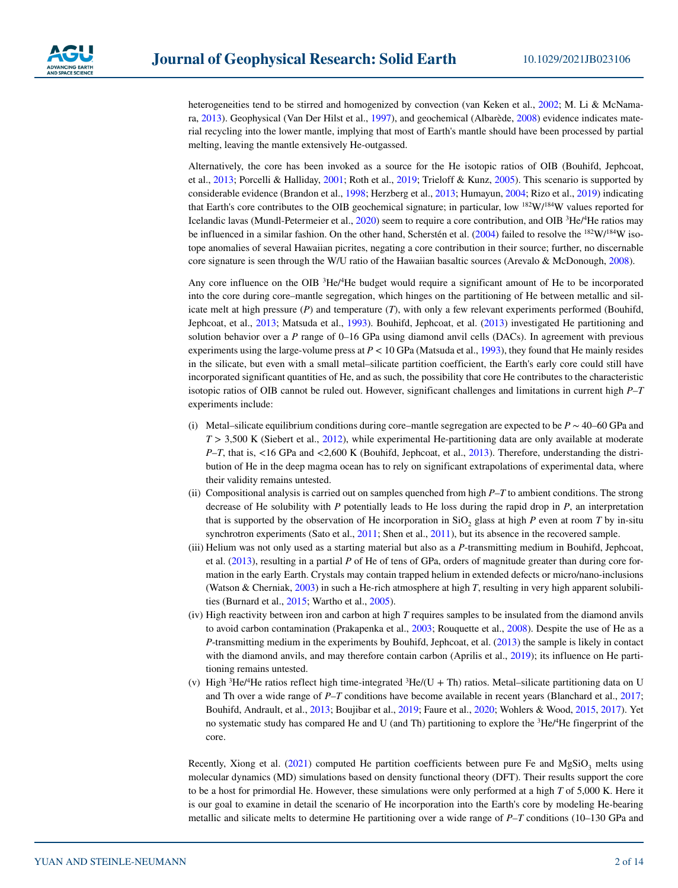

heterogeneities tend to be stirred and homogenized by convection (van Keken et al., [2002](#page-10-9); M. Li & McNamara, [2013\)](#page-11-8). Geophysical (Van Der Hilst et al., [1997\)](#page-12-2), and geochemical (Albarède, [2008](#page-9-1)) evidence indicates material recycling into the lower mantle, implying that most of Earth's mantle should have been processed by partial melting, leaving the mantle extensively He-outgassed.

Alternatively, the core has been invoked as a source for the He isotopic ratios of OIB (Bouhifd, Jephcoat, et al., [2013](#page-9-2); Porcelli & Halliday, [2001;](#page-11-9) Roth et al., [2019;](#page-12-3) Trieloff & Kunz, [2005](#page-12-4)). This scenario is supported by considerable evidence (Brandon et al., [1998](#page-9-3); Herzberg et al., [2013;](#page-10-8) Humayun, [2004](#page-10-10); Rizo et al., [2019](#page-12-5)) indicating that Earth's core contributes to the OIB geochemical signature; in particular, low 182W/184W values reported for Icelandic lavas (Mundl-Petermeier et al., [2020](#page-11-7)) seem to require a core contribution, and OIB <sup>3</sup>He/<sup>4</sup>He ratios may be influenced in a similar fashion. On the other hand, Scherstén et al. [\(2004](#page-12-6)) failed to resolve the  $^{182}W/^{184}W$  isotope anomalies of several Hawaiian picrites, negating a core contribution in their source; further, no discernable core signature is seen through the W/U ratio of the Hawaiian basaltic sources (Arevalo & McDonough, [2008\)](#page-9-4).

Any core influence on the OIB <sup>3</sup>He/<sup>4</sup>He budget would require a significant amount of He to be incorporated into the core during core–mantle segregation, which hinges on the partitioning of He between metallic and silicate melt at high pressure (*P*) and temperature (*T*), with only a few relevant experiments performed (Bouhifd, Jephcoat, et al., [2013;](#page-9-2) Matsuda et al., [1993\)](#page-11-10). Bouhifd, Jephcoat, et al. [\(2013](#page-9-2)) investigated He partitioning and solution behavior over a *P* range of 0–16 GPa using diamond anvil cells (DACs). In agreement with previous experiments using the large-volume press at  $P < 10$  GPa (Matsuda et al., [1993\)](#page-11-10), they found that He mainly resides in the silicate, but even with a small metal–silicate partition coefficient, the Earth's early core could still have incorporated significant quantities of He, and as such, the possibility that core He contributes to the characteristic isotopic ratios of OIB cannot be ruled out. However, significant challenges and limitations in current high *P*–*T* experiments include:

- (i) Metal–silicate equilibrium conditions during core–mantle segregation are expected to be *P* ∼ 40–60 GPa and *T* > 3,500 K (Siebert et al., [2012\)](#page-12-7), while experimental He-partitioning data are only available at moderate *P*–*T*, that is, <16 GPa and <2,600 K (Bouhifd, Jephcoat, et al., [2013\)](#page-9-2). Therefore, understanding the distribution of He in the deep magma ocean has to rely on significant extrapolations of experimental data, where their validity remains untested.
- (ii) Compositional analysis is carried out on samples quenched from high *P*–*T* to ambient conditions. The strong decrease of He solubility with *P* potentially leads to He loss during the rapid drop in *P*, an interpretation that is supported by the observation of He incorporation in  $SiO<sub>2</sub>$  glass at high *P* even at room *T* by in-situ synchrotron experiments (Sato et al., [2011;](#page-12-8) Shen et al., [2011\)](#page-12-9), but its absence in the recovered sample.
- (iii) Helium was not only used as a starting material but also as a *P*-transmitting medium in Bouhifd, Jephcoat, et al. [\(2013](#page-9-2)), resulting in a partial *P* of He of tens of GPa, orders of magnitude greater than during core formation in the early Earth. Crystals may contain trapped helium in extended defects or micro/nano-inclusions (Watson & Cherniak, [2003](#page-12-10)) in such a He-rich atmosphere at high *T*, resulting in very high apparent solubilities (Burnard et al., [2015](#page-9-5); Wartho et al., [2005\)](#page-12-11).
- (iv) High reactivity between iron and carbon at high *T* requires samples to be insulated from the diamond anvils to avoid carbon contamination (Prakapenka et al., [2003](#page-11-11); Rouquette et al., [2008\)](#page-12-12). Despite the use of He as a *P*-transmitting medium in the experiments by Bouhifd, Jephcoat, et al. [\(2013](#page-9-2)) the sample is likely in contact with the diamond anvils, and may therefore contain carbon (Aprilis et al., [2019\)](#page-9-6); its influence on He partitioning remains untested.
- (v) High  ${}^{3}$ He/<sup>4</sup>He ratios reflect high time-integrated  ${}^{3}$ He/(U + Th) ratios. Metal–silicate partitioning data on U and Th over a wide range of *P*–*T* conditions have become available in recent years (Blanchard et al., [2017;](#page-9-7) Bouhifd, Andrault, et al., [2013;](#page-9-8) Boujibar et al., [2019](#page-9-9); Faure et al., [2020](#page-10-11); Wohlers & Wood, [2015](#page-13-1), [2017\)](#page-13-2). Yet no systematic study has compared He and U (and Th) partitioning to explore the <sup>3</sup>He/<sup>4</sup>He fingerprint of the core.

Recently, Xiong et al.  $(2021)$  $(2021)$  computed He partition coefficients between pure Fe and MgSiO<sub>3</sub> melts using molecular dynamics (MD) simulations based on density functional theory (DFT). Their results support the core to be a host for primordial He. However, these simulations were only performed at a high *T* of 5,000 K. Here it is our goal to examine in detail the scenario of He incorporation into the Earth's core by modeling He-bearing metallic and silicate melts to determine He partitioning over a wide range of *P–T* conditions (10–130 GPa and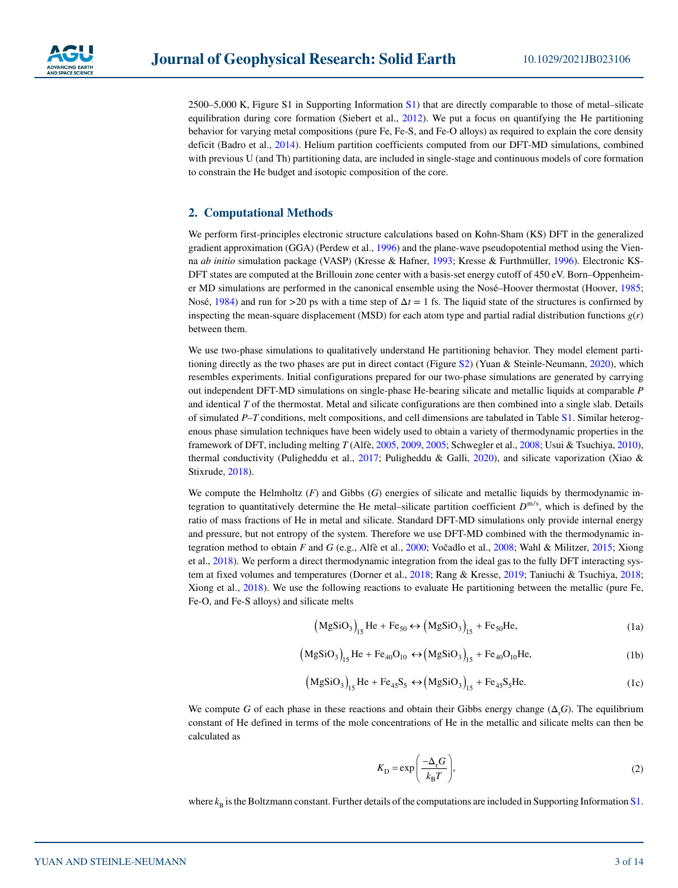

2500–5,000 K, Figure S1 in Supporting Information S1) that are directly comparable to those of metal*–*silicate equilibration during core formation (Siebert et al., [2012\)](#page-12-7). We put a focus on quantifying the He partitioning behavior for varying metal compositions (pure Fe, Fe-S, and Fe-O alloys) as required to explain the core density deficit (Badro et al., [2014\)](#page-9-10). Helium partition coefficients computed from our DFT-MD simulations, combined with previous U (and Th) partitioning data, are included in single-stage and continuous models of core formation to constrain the He budget and isotopic composition of the core.

# **2. Computational Methods**

We perform first-principles electronic structure calculations based on Kohn-Sham (KS) DFT in the generalized gradient approximation (GGA) (Perdew et al., [1996\)](#page-11-12) and the plane-wave pseudopotential method using the Vienna *ab initio* simulation package (VASP) (Kresse & Hafner, [1993](#page-10-12); Kresse & Furthmüller, [1996\)](#page-10-13). Electronic KS-DFT states are computed at the Brillouin zone center with a basis-set energy cutoff of 450 eV. Born–Oppenheimer MD simulations are performed in the canonical ensemble using the Nosé–Hoover thermostat (Hoover, [1985;](#page-10-14) Nosé, [1984](#page-11-13)) and run for  $>$ 20 ps with a time step of  $\Delta t = 1$  fs. The liquid state of the structures is confirmed by inspecting the mean-square displacement (MSD) for each atom type and partial radial distribution functions *g*(*r*) between them.

We use two-phase simulations to qualitatively understand He partitioning behavior. They model element parti-tioning directly as the two phases are put in direct contact (Figure S2) (Yuan & Steinle-Neumann, [2020\)](#page-13-4), which resembles experiments. Initial configurations prepared for our two-phase simulations are generated by carrying out independent DFT-MD simulations on single-phase He-bearing silicate and metallic liquids at comparable *P* and identical *T* of the thermostat. Metal and silicate configurations are then combined into a single slab. Details of simulated *P*–*T* conditions, melt compositions, and cell dimensions are tabulated in Table S1. Similar heterogenous phase simulation techniques have been widely used to obtain a variety of thermodynamic properties in the framework of DFT, including melting *T* (Alfè, [2005](#page-9-11), [2009](#page-9-12), [2005;](#page-9-11) Schwegler et al., [2008;](#page-12-13) Usui & Tsuchiya, [2010](#page-12-14)), thermal conductivity (Puligheddu et al., [2017;](#page-12-15) Puligheddu & Galli, [2020\)](#page-11-14), and silicate vaporization (Xiao & Stixrude, [2018](#page-13-5)).

We compute the Helmholtz (*F*) and Gibbs (*G*) energies of silicate and metallic liquids by thermodynamic integration to quantitatively determine the He metal–silicate partition coefficient  $D^{m/s}$ , which is defined by the ratio of mass fractions of He in metal and silicate. Standard DFT-MD simulations only provide internal energy and pressure, but not entropy of the system. Therefore we use DFT-MD combined with the thermodynamic integration method to obtain *F* and *G* (e.g., Alfè et al., [2000;](#page-9-13) Vočadlo et al., [2008;](#page-12-16) Wahl & Militzer, [2015;](#page-12-17) Xiong et al., [2018\)](#page-13-6). We perform a direct thermodynamic integration from the ideal gas to the fully DFT interacting system at fixed volumes and temperatures (Dorner et al., [2018](#page-10-15); Rang & Kresse, [2019](#page-12-18); Taniuchi & Tsuchiya, [2018;](#page-12-19) Xiong et al., [2018\)](#page-13-6). We use the following reactions to evaluate He partitioning between the metallic (pure Fe, Fe-O, and Fe-S alloys) and silicate melts

$$
\left(\text{MgSiO}_3\right)_{15}\text{He} + \text{Fe}_{50} \leftrightarrow \left(\text{MgSiO}_3\right)_{15} + \text{Fe}_{50}\text{He},\tag{1a}
$$

$$
(MgSiO_3)_{15}He + Fe_{40}O_{10} \leftrightarrow (MgSiO_3)_{15} + Fe_{40}O_{10}He,
$$
 (1b)

$$
\left(\text{MgSiO}_3\right)_{15}\text{He} + \text{Fe}_{45}\text{S}_5 \leftrightarrow \left(\text{MgSiO}_3\right)_{15} + \text{Fe}_{45}\text{S}_5\text{He}.\tag{1c}
$$

We compute *G* of each phase in these reactions and obtain their Gibbs energy change  $(\Delta_{r}G)$ . The equilibrium constant of He defined in terms of the mole concentrations of He in the metallic and silicate melts can then be calculated as

$$
K_{\rm D} = \exp\left(\frac{-\Delta_{\rm r}G}{k_{\rm B}T}\right),\tag{2}
$$

<span id="page-2-0"></span>where  $k_B$  is the Boltzmann constant. Further details of the computations are included in Supporting Information S1.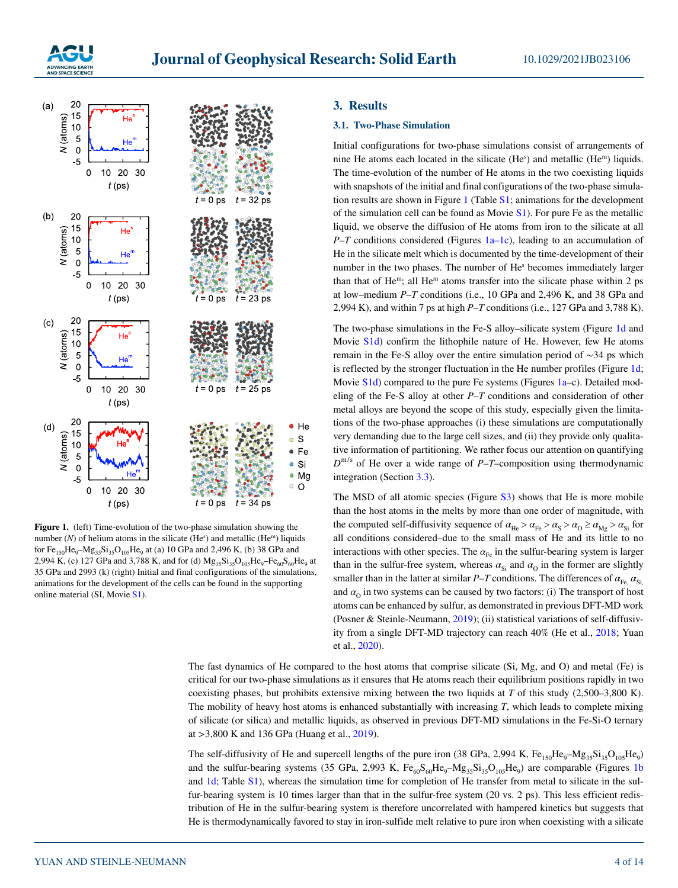



<span id="page-3-0"></span>**Figure 1.** (left) Time-evolution of the two-phase simulation showing the number  $(N)$  of helium atoms in the silicate  $(He^s)$  and metallic  $(He^m)$  liquids for Fe<sub>150</sub>He<sub>9</sub>–Mg<sub>35</sub>Si<sub>35</sub>O<sub>105</sub>He<sub>9</sub> at (a) 10 GPa and 2,496 K, (b) 38 GPa and 2,994 K, (c) 127 GPa and 3,788 K, and for (d)  $Mg_{35}Si_{35}O_{105}He_9-Fe_{60}S_{60}He_9$  at 35 GPa and 2993 (k) (right) Initial and final configurations of the simulations, animations for the development of the cells can be found in the supporting online material (SI, Movie S1).

# **3. Results**

# **3.1. Two-Phase Simulation**

Initial configurations for two-phase simulations consist of arrangements of nine He atoms each located in the silicate  $(He<sup>s</sup>)$  and metallic  $(He<sup>m</sup>)$  liquids. The time-evolution of the number of He atoms in the two coexisting liquids with snapshots of the initial and final configurations of the two-phase simulation results are shown in Figure [1](#page-3-0) (Table S1; animations for the development of the simulation cell can be found as Movie  $S1$ ). For pure Fe as the metallic liquid, we observe the diffusion of He atoms from iron to the silicate at all *P–T* conditions considered (Figures [1a–1c](#page-3-0)), leading to an accumulation of He in the silicate melt which is documented by the time-development of their number in the two phases. The number of He<sup>s</sup> becomes immediately larger than that of He<sup>m</sup>; all He<sup>m</sup> atoms transfer into the silicate phase within 2 ps at low*–*medium *P–T* conditions (i.e., 10 GPa and 2,496 K, and 38 GPa and 2,994 K), and within 7 ps at high *P–T* conditions (i.e., 127 GPa and 3,788 K).

The two-phase simulations in the Fe-S alloy*–*silicate system (Figure [1d](#page-3-0) and Movie S1d) confirm the lithophile nature of He. However, few He atoms remain in the Fe-S alloy over the entire simulation period of ∼34 ps which is reflected by the stronger fluctuation in the He number profiles (Figure [1d;](#page-3-0) Movie S1d) compared to the pure Fe systems (Figures [1a](#page-3-0)*–*c). Detailed modeling of the Fe-S alloy at other *P*–*T* conditions and consideration of other metal alloys are beyond the scope of this study, especially given the limitations of the two-phase approaches (i) these simulations are computationally very demanding due to the large cell sizes, and (ii) they provide only qualitative information of partitioning. We rather focus our attention on quantifying • Si  $D^{m/s}$  of He over a wide range of *P–T–composition using thermodynamic* • Mg integration (Section 3.3). integration (Section [3.3](#page-4-0)).

> The MSD of all atomic species (Figure S3) shows that He is more mobile than the host atoms in the melts by more than one order of magnitude, with the computed self-diffusivity sequence of  $\alpha_{He} > \alpha_{Fe} > \alpha_{S} > \alpha_{O} \ge \alpha_{Mg} > \alpha_{Si}$  for all conditions considered–due to the small mass of He and its little to no interactions with other species. The  $\alpha_{\text{Fe}}$  in the sulfur-bearing system is larger than in the sulfur-free system, whereas  $\alpha_{Si}$  and  $\alpha_{O}$  in the former are slightly smaller than in the latter at similar *P*–*T* conditions. The differences of  $\alpha_{\text{Fe}}$ ,  $\alpha_{\text{Si}}$ and  $\alpha_0$  in two systems can be caused by two factors: (i) The transport of host atoms can be enhanced by sulfur, as demonstrated in previous DFT-MD work (Posner & Steinle-Neumann, [2019](#page-11-15)); (ii) statistical variations of self-diffusivity from a single DFT-MD trajectory can reach 40% (He et al., [2018](#page-10-16); Yuan et al., [2020](#page-13-7)).

The fast dynamics of He compared to the host atoms that comprise silicate (Si, Mg, and O) and metal (Fe) is critical for our two-phase simulations as it ensures that He atoms reach their equilibrium positions rapidly in two coexisting phases, but prohibits extensive mixing between the two liquids at *T* of this study (2,500–3,800 K). The mobility of heavy host atoms is enhanced substantially with increasing *T*, which leads to complete mixing of silicate (or silica) and metallic liquids, as observed in previous DFT-MD simulations in the Fe-Si-O ternary at >3,800 K and 136 GPa (Huang et al., [2019\)](#page-10-17).

The self-diffusivity of He and supercell lengths of the pure iron (38 GPa, 2,994 K, Fe<sub>150</sub>He<sub>9</sub>–Mg<sub>35</sub>Si<sub>35</sub>O<sub>105</sub>He<sub>9</sub>) and the sulfur-bearing systems (35 GPa, 2,993 K,  $Fe_{60}S_{60}He_{9}-Mg_{35}Si_{35}O_{105}He_{9}$ ) are comparable (Figures [1b](#page-3-0) and [1d;](#page-3-0) Table S1), whereas the simulation time for completion of He transfer from metal to silicate in the sulfur-bearing system is 10 times larger than that in the sulfur-free system (20 vs. 2 ps). This less efficient redistribution of He in the sulfur-bearing system is therefore uncorrelated with hampered kinetics but suggests that He is thermodynamically favored to stay in iron-sulfide melt relative to pure iron when coexisting with a silicate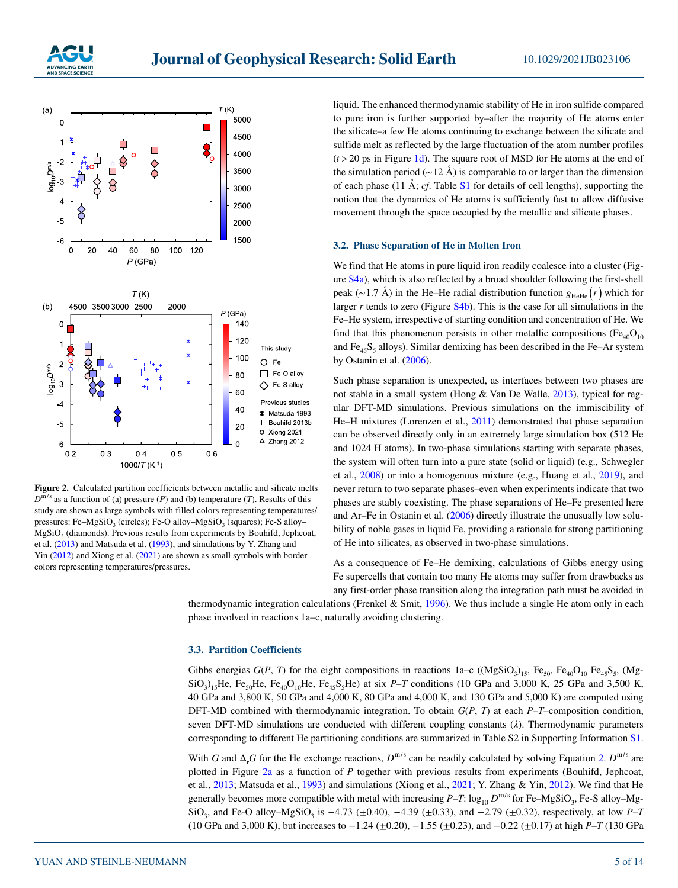



<span id="page-4-1"></span>**Figure 2.** Calculated partition coefficients between metallic and silicate melts  $D^{m/s}$  as a function of (a) pressure (*P*) and (b) temperature (*T*). Results of this study are shown as large symbols with filled colors representing temperatures/ pressures: Fe–MgSiO<sub>3</sub> (circles); Fe-O alloy–MgSiO<sub>3</sub> (squares); Fe-S alloy– MgSiO<sub>2</sub> (diamonds). Previous results from experiments by Bouhifd, Jephcoat, et al. ([2013\)](#page-9-2) and Matsuda et al. ([1993\)](#page-11-10), and simulations by Y. Zhang and Yin [\(2012](#page-13-8)) and Xiong et al. [\(2021](#page-13-3)) are shown as small symbols with border colors representing temperatures/pressures.

liquid. The enhanced thermodynamic stability of He in iron sulfide compared to pure iron is further supported by–after the majority of He atoms enter the silicate–a few He atoms continuing to exchange between the silicate and sulfide melt as reflected by the large fluctuation of the atom number profiles  $(t > 20$  ps in Figure [1d\)](#page-3-0). The square root of MSD for He atoms at the end of the simulation period ( $\sim$ 12 Å) is comparable to or larger than the dimension of each phase (11 Å; *cf*. Table S1 for details of cell lengths), supporting the notion that the dynamics of He atoms is sufficiently fast to allow diffusive movement through the space occupied by the metallic and silicate phases.

#### **3.2. Phase Separation of He in Molten Iron**

We find that He atoms in pure liquid iron readily coalesce into a cluster (Figure S4a), which is also reflected by a broad shoulder following the first-shell peak (~1.7 Å) in the He–He radial distribution function  $g_{HeHe}(r)$  which for larger  $r$  tends to zero (Figure  $S4b$ ). This is the case for all simulations in the Fe–He system, irrespective of starting condition and concentration of He. We find that this phenomenon persists in other metallic compositions ( $Fe<sub>40</sub>O<sub>10</sub>$ and  $Fe<sub>45</sub>S<sub>5</sub>$  alloys). Similar demixing has been described in the Fe–Ar system by Ostanin et al. [\(2006](#page-11-16)).

Such phase separation is unexpected, as interfaces between two phases are not stable in a small system (Hong & Van De Walle, [2013](#page-10-18)), typical for regular DFT-MD simulations. Previous simulations on the immiscibility of He–H mixtures (Lorenzen et al., [2011\)](#page-11-17) demonstrated that phase separation can be observed directly only in an extremely large simulation box (512 He and 1024 H atoms). In two-phase simulations starting with separate phases, the system will often turn into a pure state (solid or liquid) (e.g., Schwegler et al., [2008](#page-12-13)) or into a homogenous mixture (e.g., Huang et al., [2019](#page-10-17)), and never return to two separate phases–even when experiments indicate that two phases are stably coexisting. The phase separations of He–Fe presented here and Ar–Fe in Ostanin et al. [\(2006](#page-11-16)) directly illustrate the unusually low solubility of noble gases in liquid Fe, providing a rationale for strong partitioning of He into silicates, as observed in two-phase simulations.

As a consequence of Fe–He demixing, calculations of Gibbs energy using Fe supercells that contain too many He atoms may suffer from drawbacks as any first-order phase transition along the integration path must be avoided in

thermodynamic integration calculations (Frenkel & Smit, [1996\)](#page-10-19). We thus include a single He atom only in each phase involved in reactions 1a–c, naturally avoiding clustering.

# <span id="page-4-0"></span>**3.3. Partition Coefficients**

Gibbs energies  $G(P, T)$  for the eight compositions in reactions 1a–c  $((MgSiO<sub>3</sub>)<sub>15</sub>, Fe<sub>50</sub>, Fe<sub>40</sub>O<sub>10</sub> Fe<sub>45</sub>S<sub>5</sub>, (Mg \text{SiO}_3$ )<sub>15</sub>He, Fe<sub>50</sub>He, Fe<sub>40</sub>O<sub>10</sub>He, Fe<sub>45</sub>S<sub>5</sub>He) at six *P–T* conditions (10 GPa and 3,000 K, 25 GPa and 3,500 K, 40 GPa and 3,800 K, 50 GPa and 4,000 K, 80 GPa and 4,000 K, and 130 GPa and 5,000 K) are computed using DFT-MD combined with thermodynamic integration. To obtain *G*(*P*, *T*) at each *P*–*T*–composition condition, seven DFT-MD simulations are conducted with different coupling constants (*λ*). Thermodynamic parameters corresponding to different He partitioning conditions are summarized in Table S2 in Supporting Information S1.

With *G* and  $\Delta_i G$  for the He exchange reactions,  $D^{m/s}$  can be readily calculated by solving Equation [2](#page-2-0).  $D^{m/s}$  are plotted in Figure [2a](#page-4-1) as a function of *P* together with previous results from experiments (Bouhifd, Jephcoat, et al., [2013](#page-9-2); Matsuda et al., [1993\)](#page-11-10) and simulations (Xiong et al., [2021;](#page-13-3) Y. Zhang & Yin, [2012\)](#page-13-8). We find that He generally becomes more compatible with metal with increasing  $P-T: \log_{10} D^{m/s}$  for Fe–MgSiO<sub>3</sub>, Fe-S alloy–Mg-SiO<sub>3</sub>, and Fe-O alloy–MgSiO<sub>3</sub> is −4.73 (±0.40), −4.39 (±0.33), and −2.79 (±0.32), respectively, at low *P*–*T* (10 GPa and 3,000 K), but increases to −1.24 (±0.20), −1.55 (±0.23), and −0.22 (±0.17) at high *P*–*T* (130 GPa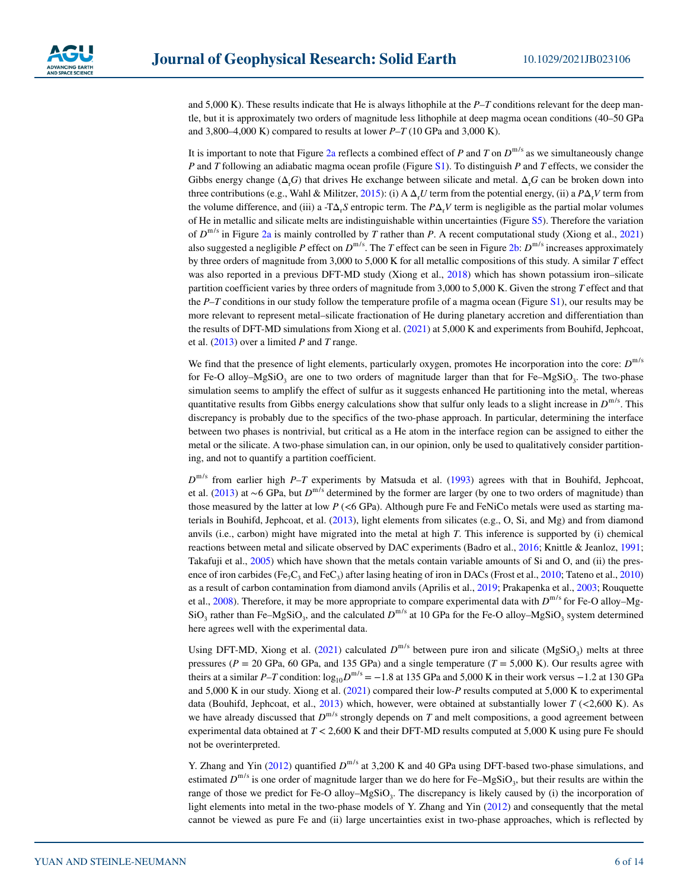and 5,000 K). These results indicate that He is always lithophile at the *P*–*T* conditions relevant for the deep mantle, but it is approximately two orders of magnitude less lithophile at deep magma ocean conditions (40–50 GPa and 3,800–4,000 K) compared to results at lower *P*–*T* (10 GPa and 3,000 K).

It is important to note that Figure [2a](#page-4-1) reflects a combined effect of *P* and *T* on  $D^{m/s}$  as we simultaneously change *P* and *T* following an adiabatic magma ocean profile (Figure S1). To distinguish *P* and *T* effects, we consider the Gibbs energy change  $(\Delta_r G)$  that drives He exchange between silicate and metal.  $\Delta_r G$  can be broken down into three contributions (e.g., Wahl & Militzer, [2015\)](#page-12-17): (i) A  $\Delta_r U$  term from the potential energy, (ii) a  $P\Delta_r V$  term from the volume difference, and (iii) a -T $\Delta_r S$  entropic term. The  $P\Delta_r V$  term is negligible as the partial molar volumes of He in metallic and silicate melts are indistinguishable within uncertainties (Figure S5). Therefore the variation of  $D^{m/s}$  in Figure [2a](#page-4-1) is mainly controlled by *T* rather than *P*. A recent computational study (Xiong et al., [2021](#page-13-3)) also suggested a negligible *P* effect on  $D^{m/s}$ . The *T* effect can be seen in Figure [2b](#page-4-1):  $D^{m/s}$  increases approximately by three orders of magnitude from 3,000 to 5,000 K for all metallic compositions of this study. A similar *T* effect was also reported in a previous DFT-MD study (Xiong et al., [2018](#page-13-6)) which has shown potassium iron–silicate partition coefficient varies by three orders of magnitude from 3,000 to 5,000 K. Given the strong *T* effect and that the *P*–*T* conditions in our study follow the temperature profile of a magma ocean (Figure S1), our results may be more relevant to represent metal–silicate fractionation of He during planetary accretion and differentiation than the results of DFT-MD simulations from Xiong et al. ([2021\)](#page-13-3) at 5,000 K and experiments from Bouhifd, Jephcoat, et al. ([2013\)](#page-9-2) over a limited *P* and *T* range.

We find that the presence of light elements, particularly oxygen, promotes He incorporation into the core:  $D^{m/s}$ for Fe-O alloy–MgSiO<sub>3</sub> are one to two orders of magnitude larger than that for Fe–MgSiO<sub>3</sub>. The two-phase simulation seems to amplify the effect of sulfur as it suggests enhanced He partitioning into the metal, whereas quantitative results from Gibbs energy calculations show that sulfur only leads to a slight increase in  $D^{m/s}$ . This discrepancy is probably due to the specifics of the two-phase approach. In particular, determining the interface between two phases is nontrivial, but critical as a He atom in the interface region can be assigned to either the metal or the silicate. A two-phase simulation can, in our opinion, only be used to qualitatively consider partitioning, and not to quantify a partition coefficient.

 $D<sup>m/s</sup>$  from earlier high *P–T* experiments by Matsuda et al. [\(1993](#page-11-10)) agrees with that in Bouhifd, Jephcoat, et al. [\(2013](#page-9-2)) at ∼6 GPa, but  $D^{m/s}$  determined by the former are larger (by one to two orders of magnitude) than those measured by the latter at low *P* (<6 GPa). Although pure Fe and FeNiCo metals were used as starting materials in Bouhifd, Jephcoat, et al.  $(2013)$  $(2013)$ , light elements from silicates (e.g., O, Si, and Mg) and from diamond anvils (i.e., carbon) might have migrated into the metal at high *T*. This inference is supported by (i) chemical reactions between metal and silicate observed by DAC experiments (Badro et al., [2016;](#page-9-14) Knittle & Jeanloz, [1991;](#page-10-20) Takafuji et al., [2005\)](#page-12-20) which have shown that the metals contain variable amounts of Si and O, and (ii) the pres-ence of iron carbides (Fe<sub>7</sub>C<sub>3</sub> and FeC<sub>3</sub>) after lasing heating of iron in DACs (Frost et al., [2010](#page-12-21); Tateno et al., 2010) as a result of carbon contamination from diamond anvils (Aprilis et al., [2019;](#page-9-6) Prakapenka et al., [2003](#page-11-11); Rouquette et al., [2008\)](#page-12-12). Therefore, it may be more appropriate to compare experimental data with  $D^{m/s}$  for Fe-O alloy–Mg-SiO<sub>3</sub> rather than Fe–MgSiO<sub>3</sub>, and the calculated  $D^{m/s}$  at 10 GPa for the Fe-O alloy–MgSiO<sub>3</sub> system determined here agrees well with the experimental data.

Using DFT-MD, Xiong et al. ([2021\)](#page-13-3) calculated  $D^{m/s}$  between pure iron and silicate (MgSiO<sub>3</sub>) melts at three pressures ( $P = 20$  GPa, 60 GPa, and 135 GPa) and a single temperature ( $T = 5,000$  K). Our results agree with theirs at a similar *P*–*T* condition:  $log_{10}D^{m/s}$  = −1.8 at 135 GPa and 5,000 K in their work versus −1.2 at 130 GPa and 5,000 K in our study. Xiong et al. [\(2021](#page-13-3)) compared their low-*P* results computed at 5,000 K to experimental data (Bouhifd, Jephcoat, et al., [2013](#page-9-2)) which, however, were obtained at substantially lower *T* (<2,600 K). As we have already discussed that  $D^{m/s}$  strongly depends on *T* and melt compositions, a good agreement between experimental data obtained at *T* < 2,600 K and their DFT-MD results computed at 5,000 K using pure Fe should not be overinterpreted.

Y. Zhang and Yin ([2012\)](#page-13-8) quantified  $D^{m/s}$  at 3,200 K and 40 GPa using DFT-based two-phase simulations, and estimated  $D^{m/s}$  is one order of magnitude larger than we do here for Fe–MgSiO<sub>3</sub>, but their results are within the range of those we predict for Fe-O alloy–MgSiO<sub>3</sub>. The discrepancy is likely caused by (i) the incorporation of light elements into metal in the two-phase models of Y. Zhang and Yin ([2012\)](#page-13-8) and consequently that the metal cannot be viewed as pure Fe and (ii) large uncertainties exist in two-phase approaches, which is reflected by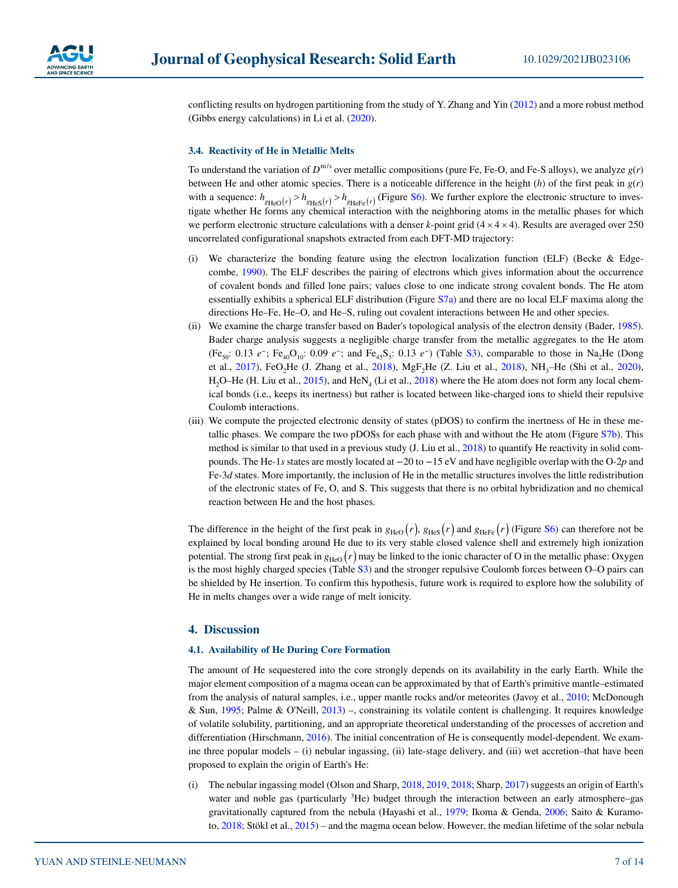

conflicting results on hydrogen partitioning from the study of Y. Zhang and Yin [\(2012](#page-13-8)) and a more robust method (Gibbs energy calculations) in Li et al. ([2020\)](#page-11-18).

#### **3.4. Reactivity of He in Metallic Melts**

To understand the variation of  $D^{m/s}$  over metallic compositions (pure Fe, Fe-O, and Fe-S alloys), we analyze  $g(r)$ between He and other atomic species. There is a noticeable difference in the height  $(h)$  of the first peak in  $g(r)$ with a sequence:  $h_{g_{\text{HeO}}(r)} > h_{g_{\text{HeS}}(r)} > h_{g_{\text{HeFe}}(r)}$  (Figure S6). We further explore the electronic structure to investigate whether He forms any chemical interaction with the neighboring atoms in the metallic phases for which we perform electronic structure calculations with a denser *k*-point grid  $(4 \times 4 \times 4)$ . Results are averaged over 250 uncorrelated configurational snapshots extracted from each DFT-MD trajectory:

- (i) We characterize the bonding feature using the electron localization function (ELF) (Becke & Edgecombe, [1990](#page-9-15)). The ELF describes the pairing of electrons which gives information about the occurrence of covalent bonds and filled lone pairs; values close to one indicate strong covalent bonds. The He atom essentially exhibits a spherical ELF distribution (Figure S7a) and there are no local ELF maxima along the directions He–Fe, He–O, and He–S, ruling out covalent interactions between He and other species.
- (ii) We examine the charge transfer based on Bader's topological analysis of the electron density (Bader, [1985](#page-9-16)). Bader charge analysis suggests a negligible charge transfer from the metallic aggregates to the He atom (Fe<sub>50</sub>: 0.13 *e*<sup>-</sup>; Fe<sub>40</sub>O<sub>10</sub>: 0.09 *e*<sup>-</sup>; and Fe<sub>45</sub>S<sub>5</sub>: 0.13 *e*<sup>-</sup>) (Table S3), comparable to those in Na<sub>2</sub>He (Dong et al., [2017\)](#page-10-22), FeO<sub>2</sub>He (J. Zhang et al., [2018\)](#page-13-9), MgF<sub>2</sub>He (Z. Liu et al., [2018](#page-11-19)), NH<sub>3</sub>–He (Shi et al., [2020](#page-12-22)), H<sub>2</sub>O–He (H. Liu et al., [2015\)](#page-11-20), and HeN<sub>4</sub> (Li et al., [2018](#page-11-21)) where the He atom does not form any local chemical bonds (i.e., keeps its inertness) but rather is located between like-charged ions to shield their repulsive Coulomb interactions.
- (iii) We compute the projected electronic density of states (pDOS) to confirm the inertness of He in these metallic phases. We compare the two pDOSs for each phase with and without the He atom (Figure S7b). This method is similar to that used in a previous study (J. Liu et al., [2018](#page-11-19)) to quantify He reactivity in solid compounds. The He-1*s* states are mostly located at −20 to −15 eV and have negligible overlap with the O-2*p* and Fe-3*d* states. More importantly, the inclusion of He in the metallic structures involves the little redistribution of the electronic states of Fe, O, and S. This suggests that there is no orbital hybridization and no chemical reaction between He and the host phases.

The difference in the height of the first peak in  $g_{\text{HeO}}(r)$ ,  $g_{\text{HeS}}(r)$  and  $g_{\text{HeFe}}(r)$  (Figure S6) can therefore not be explained by local bonding around He due to its very stable closed valence shell and extremely high ionization potential. The strong first peak in  $g_{\text{HeO}}(r)$  may be linked to the ionic character of O in the metallic phase: Oxygen is the most highly charged species (Table S3) and the stronger repulsive Coulomb forces between O–O pairs can be shielded by He insertion. To confirm this hypothesis, future work is required to explore how the solubility of He in melts changes over a wide range of melt ionicity.

# **4. Discussion**

# **4.1. Availability of He During Core Formation**

The amount of He sequestered into the core strongly depends on its availability in the early Earth. While the major element composition of a magma ocean can be approximated by that of Earth's primitive mantle–estimated from the analysis of natural samples, i.e., upper mantle rocks and/or meteorites (Javoy et al., [2010](#page-10-23); McDonough & Sun, [1995;](#page-11-22) Palme & O'Neill, [2013](#page-11-23)) –, constraining its volatile content is challenging. It requires knowledge of volatile solubility, partitioning, and an appropriate theoretical understanding of the processes of accretion and differentiation (Hirschmann, [2016\)](#page-10-24). The initial concentration of He is consequently model-dependent. We examine three popular models – (i) nebular ingassing, (ii) late-stage delivery, and (iii) wet accretion–that have been proposed to explain the origin of Earth's He:

(i) The nebular ingassing model (Olson and Sharp, [2018,](#page-11-24) [2019,](#page-11-25) [2018](#page-11-24); Sharp, [2017\)](#page-12-23) suggests an origin of Earth's water and noble gas (particularly <sup>3</sup>He) budget through the interaction between an early atmosphere–gas gravitationally captured from the nebula (Hayashi et al., [1979;](#page-10-25) Ikoma & Genda, [2006;](#page-10-26) Saito & Kuramoto, [2018](#page-12-24); Stökl et al., [2015](#page-12-25)) – and the magma ocean below. However, the median lifetime of the solar nebula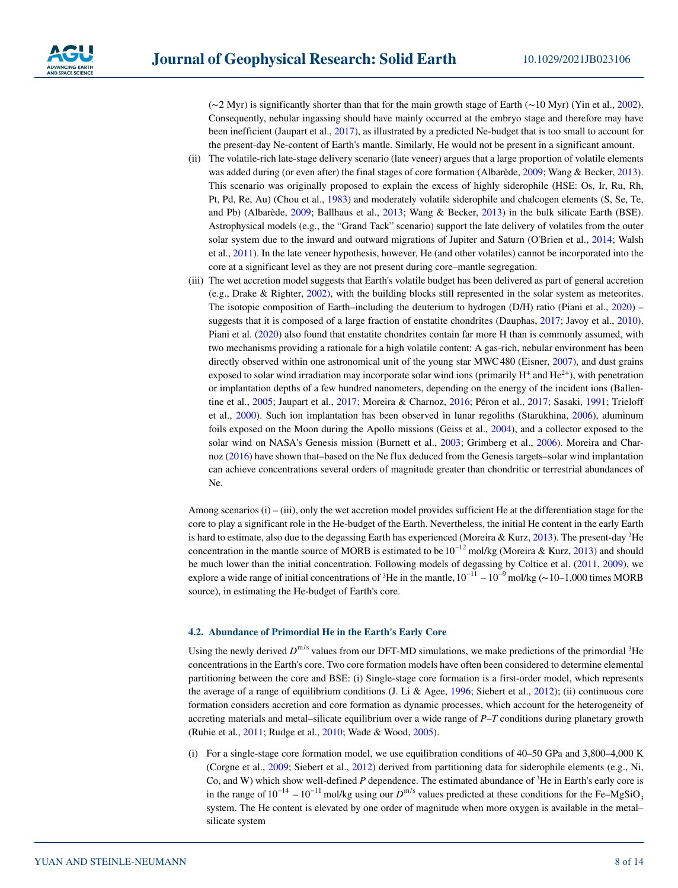(∼2 Myr) is significantly shorter than that for the main growth stage of Earth (∼10 Myr) (Yin et al., [2002](#page-13-10)). Consequently, nebular ingassing should have mainly occurred at the embryo stage and therefore may have been inefficient (Jaupart et al., [2017](#page-10-27)), as illustrated by a predicted Ne-budget that is too small to account for the present-day Ne-content of Earth's mantle. Similarly, He would not be present in a significant amount.

- (ii) The volatile-rich late-stage delivery scenario (late veneer) argues that a large proportion of volatile elements was added during (or even after) the final stages of core formation (Albarède, [2009](#page-9-17); Wang & Becker, [2013](#page-12-26)). This scenario was originally proposed to explain the excess of highly siderophile (HSE: Os, Ir, Ru, Rh, Pt, Pd, Re, Au) (Chou et al., [1983](#page-9-18)) and moderately volatile siderophile and chalcogen elements (S, Se, Te, and Pb) (Albarède, [2009;](#page-9-17) Ballhaus et al., [2013](#page-9-19); Wang & Becker, [2013](#page-12-26)) in the bulk silicate Earth (BSE). Astrophysical models (e.g., the "Grand Tack" scenario) support the late delivery of volatiles from the outer solar system due to the inward and outward migrations of Jupiter and Saturn (O'Brien et al., [2014;](#page-11-26) Walsh et al., [2011\)](#page-12-27). In the late veneer hypothesis, however, He (and other volatiles) cannot be incorporated into the core at a significant level as they are not present during core–mantle segregation.
- (iii) The wet accretion model suggests that Earth's volatile budget has been delivered as part of general accretion (e.g., Drake & Righter, [2002\)](#page-10-28), with the building blocks still represented in the solar system as meteorites. The isotopic composition of Earth–including the deuterium to hydrogen (D/H) ratio (Piani et al., [2020](#page-11-27)) – suggests that it is composed of a large fraction of enstatite chondrites (Dauphas, [2017;](#page-10-29) Javoy et al., [2010](#page-10-23)). Piani et al. ([2020\)](#page-11-27) also found that enstatite chondrites contain far more H than is commonly assumed, with two mechanisms providing a rationale for a high volatile content: A gas-rich, nebular environment has been directly observed within one astronomical unit of the young star MWC480 (Eisner, [2007\)](#page-10-30), and dust grains exposed to solar wind irradiation may incorporate solar wind ions (primarily  $H^+$  and  $He^{2+}$ ), with penetration or implantation depths of a few hundred nanometers, depending on the energy of the incident ions (Ballentine et al., [2005;](#page-9-20) Jaupart et al., [2017](#page-10-27); Moreira & Charnoz, [2016](#page-11-28); Péron et al., [2017;](#page-11-29) Sasaki, [1991](#page-12-28); Trieloff et al., [2000](#page-12-29)). Such ion implantation has been observed in lunar regoliths (Starukhina, [2006](#page-12-30)), aluminum foils exposed on the Moon during the Apollo missions (Geiss et al., [2004](#page-10-31)), and a collector exposed to the solar wind on NASA's Genesis mission (Burnett et al., [2003](#page-9-21); Grimberg et al., [2006\)](#page-10-32). Moreira and Charnoz ([2016\)](#page-11-28) have shown that–based on the Ne flux deduced from the Genesis targets–solar wind implantation can achieve concentrations several orders of magnitude greater than chondritic or terrestrial abundances of Ne.

Among scenarios (i) – (iii), only the wet accretion model provides sufficient He at the differentiation stage for the core to play a significant role in the He-budget of the Earth. Nevertheless, the initial He content in the early Earth is hard to estimate, also due to the degassing Earth has experienced (Moreira & Kurz, [2013](#page-11-30)). The present-day  ${}^{3}$ He concentration in the mantle source of MORB is estimated to be  $10^{-12}$  mol/kg (Moreira & Kurz, [2013](#page-11-30)) and should be much lower than the initial concentration. Following models of degassing by Coltice et al. ([2011,](#page-10-33) [2009](#page-10-34)), we explore a wide range of initial concentrations of <sup>3</sup>He in the mantle,  $10^{-11} - 10^{-9}$  mol/kg (∼10–1,000 times MORB source), in estimating the He-budget of Earth's core.

# **4.2. Abundance of Primordial He in the Earth's Early Core**

Using the newly derived  $D^{m/s}$  values from our DFT-MD simulations, we make predictions of the primordial <sup>3</sup>He concentrations in the Earth's core. Two core formation models have often been considered to determine elemental partitioning between the core and BSE: (i) Single-stage core formation is a first-order model, which represents the average of a range of equilibrium conditions (J. Li & Agee, [1996](#page-11-31); Siebert et al., [2012](#page-12-7)); (ii) continuous core formation considers accretion and core formation as dynamic processes, which account for the heterogeneity of accreting materials and metal–silicate equilibrium over a wide range of *P*–*T* conditions during planetary growth (Rubie et al., [2011;](#page-12-31) Rudge et al., [2010;](#page-12-32) Wade & Wood, [2005](#page-12-33)).

(i) For a single-stage core formation model, we use equilibration conditions of 40–50 GPa and 3,800–4,000 K (Corgne et al., [2009;](#page-10-35) Siebert et al., [2012](#page-12-7)) derived from partitioning data for siderophile elements (e.g., Ni, Co, and W) which show well-defined *P* dependence. The estimated abundance of 3 He in Earth's early core is in the range of  $10^{-14} - 10^{-11}$  mol/kg using our  $D^{m/s}$  values predicted at these conditions for the Fe–MgSiO<sub>3</sub> system. The He content is elevated by one order of magnitude when more oxygen is available in the metal– silicate system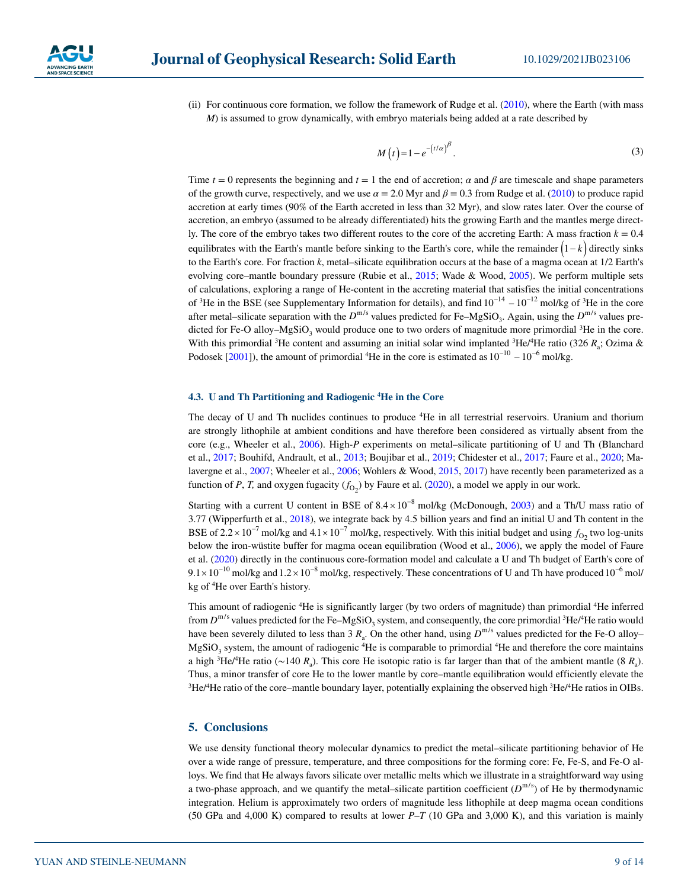

(ii) For continuous core formation, we follow the framework of Rudge et al. [\(2010](#page-12-32)), where the Earth (with mass *M*) is assumed to grow dynamically, with embryo materials being added at a rate described by

$$
M(t) = 1 - e^{-(t/\alpha)^{\beta}}.
$$

Time  $t = 0$  represents the beginning and  $t = 1$  the end of accretion;  $\alpha$  and  $\beta$  are timescale and shape parameters of the growth curve, respectively, and we use  $\alpha = 2.0$  Myr and  $\beta = 0.3$  from Rudge et al. ([2010\)](#page-12-32) to produce rapid accretion at early times (90% of the Earth accreted in less than 32 Myr), and slow rates later. Over the course of accretion, an embryo (assumed to be already differentiated) hits the growing Earth and the mantles merge directly. The core of the embryo takes two different routes to the core of the accreting Earth: A mass fraction  $k = 0.4$ equilibrates with the Earth's mantle before sinking to the Earth's core, while the remainder  $(1-k)$  directly sinks to the Earth's core. For fraction *k*, metal–silicate equilibration occurs at the base of a magma ocean at 1/2 Earth's evolving core–mantle boundary pressure (Rubie et al., [2015](#page-12-34); Wade & Wood, [2005](#page-12-33)). We perform multiple sets of calculations, exploring a range of He-content in the accreting material that satisfies the initial concentrations of <sup>3</sup>He in the BSE (see Supplementary Information for details), and find  $10^{-14} - 10^{-12}$  mol/kg of <sup>3</sup>He in the core after metal–silicate separation with the  $D^{m/s}$  values predicted for Fe–MgSiO<sub>3</sub>. Again, using the  $D^{m/s}$  values predicted for Fe-O alloy–MgSiO<sub>3</sub> would produce one to two orders of magnitude more primordial <sup>3</sup>He in the core. With this primordial <sup>3</sup>He content and assuming an initial solar wind implanted <sup>3</sup>He/<sup>4</sup>He ratio (326  $R_a$ ; Ozima & Podosek  $[2001]$  $[2001]$ ), the amount of primordial <sup>4</sup>He in the core is estimated as  $10^{-10} - 10^{-6}$  mol/kg.

# **4.3. U and Th Partitioning and Radiogenic <sup>4</sup> He in the Core**

The decay of U and Th nuclides continues to produce 4 He in all terrestrial reservoirs. Uranium and thorium are strongly lithophile at ambient conditions and have therefore been considered as virtually absent from the core (e.g., Wheeler et al., [2006](#page-13-11)). High-*P* experiments on metal–silicate partitioning of U and Th (Blanchard et al., [2017](#page-9-7); Bouhifd, Andrault, et al., [2013;](#page-9-8) Boujibar et al., [2019](#page-9-9); Chidester et al., [2017](#page-9-22); Faure et al., [2020;](#page-10-11) Malavergne et al., [2007](#page-11-33); Wheeler et al., [2006;](#page-13-11) Wohlers & Wood, [2015,](#page-13-1) [2017](#page-13-2)) have recently been parameterized as a function of *P*, *T*, and oxygen fugacity  $(f<sub>O2</sub>)$  by Faure et al. [\(2020](#page-10-11)), a model we apply in our work.

Starting with a current U content in BSE of  $8.4 \times 10^{-8}$  mol/kg (McDonough, [2003\)](#page-11-34) and a Th/U mass ratio of 3.77 (Wipperfurth et al., [2018\)](#page-13-12), we integrate back by 4.5 billion years and find an initial U and Th content in the BSE of  $2.2 \times 10^{-7}$  mol/kg and  $4.1 \times 10^{-7}$  mol/kg, respectively. With this initial budget and using  $f_{02}$  two log-units below the iron-wüstite buffer for magma ocean equilibration (Wood et al., [2006\)](#page-13-13), we apply the model of Faure et al. ([2020\)](#page-10-11) directly in the continuous core-formation model and calculate a U and Th budget of Earth's core of  $9.1 \times 10^{-10}$  mol/kg and  $1.2 \times 10^{-8}$  mol/kg, respectively. These concentrations of U and Th have produced kg of 4 He over Earth's history.

This amount of radiogenic <sup>4</sup>He is significantly larger (by two orders of magnitude) than primordial <sup>4</sup>He inferred from  $D^{m/s}$  values predicted for the Fe–MgSiO<sub>3</sub> system, and consequently, the core primordial <sup>3</sup>He/<sup>4</sup>He ratio would have been severely diluted to less than 3  $R_a$ . On the other hand, using  $D^{m/s}$  values predicted for the Fe-O alloy–  $MgSiO<sub>3</sub>$  system, the amount of radiogenic <sup>4</sup>He is comparable to primordial <sup>4</sup>He and therefore the core maintains a high <sup>3</sup>He/<sup>4</sup>He ratio (∼140  $R_a$ ). This core He isotopic ratio is far larger than that of the ambient mantle (8  $R_a$ ). Thus, a minor transfer of core He to the lower mantle by core–mantle equilibration would efficiently elevate the  ${}^{3}$ He/ ${}^{4}$ He ratio of the core–mantle boundary layer, potentially explaining the observed high  ${}^{3}$ He/ ${}^{4}$ He ratios in OIBs.

# **5. Conclusions**

We use density functional theory molecular dynamics to predict the metal–silicate partitioning behavior of He over a wide range of pressure, temperature, and three compositions for the forming core: Fe, Fe-S, and Fe-O alloys. We find that He always favors silicate over metallic melts which we illustrate in a straightforward way using a two-phase approach, and we quantify the metal–silicate partition coefficient  $(D^{m/s})$  of He by thermodynamic integration. Helium is approximately two orders of magnitude less lithophile at deep magma ocean conditions (50 GPa and 4,000 K) compared to results at lower *P*–*T* (10 GPa and 3,000 K), and this variation is mainly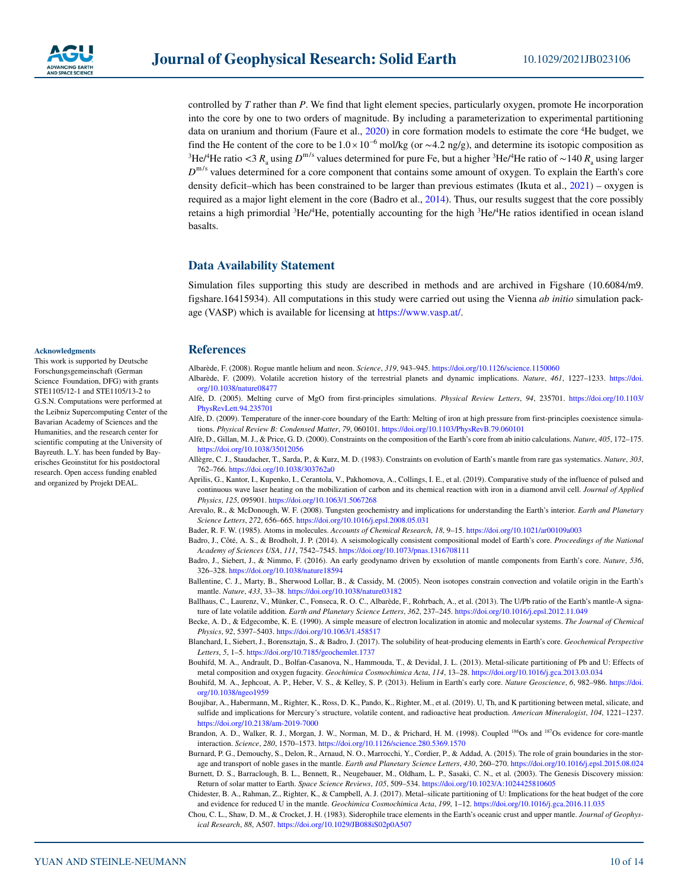

controlled by *T* rather than *P*. We find that light element species, particularly oxygen, promote He incorporation into the core by one to two orders of magnitude. By including a parameterization to experimental partitioning data on uranium and thorium (Faure et al., [2020\)](#page-10-11) in core formation models to estimate the core 4 He budget, we find the He content of the core to be  $1.0 \times 10^{-6}$  mol/kg (or ~4.2 ng/g), and determine its isotopic composition as <sup>3</sup>He/<sup>4</sup>He ratio <3  $R_a$  using  $D^{m/s}$  values determined for pure Fe, but a higher <sup>3</sup>He/<sup>4</sup> *D*<sup>m/s</sup> values determined for a core component that contains some amount of oxygen. To explain the Earth's core density deficit–which has been constrained to be larger than previous estimates (Ikuta et al., [2021](#page-10-36)) – oxygen is required as a major light element in the core (Badro et al., [2014\)](#page-9-10). Thus, our results suggest that the core possibly retains a high primordial <sup>3</sup>He/<sup>4</sup>He, potentially accounting for the high <sup>3</sup>He/<sup>4</sup>He ratios identified in ocean island basalts.

# **Data Availability Statement**

Simulation files supporting this study are described in methods and are archived in Figshare (10.6084/m9. figshare.16415934). All computations in this study were carried out using the Vienna *ab initio* simulation package (VASP) which is available for licensing at <https://www.vasp.at/>.

#### **References**

- <span id="page-9-1"></span>Albarède, F. (2008). Rogue mantle helium and neon. *Science*, *319*, 943–945.<https://doi.org/10.1126/science.1150060>
- <span id="page-9-17"></span>Albarède, F. (2009). Volatile accretion history of the terrestrial planets and dynamic implications. *Nature*, *461*, 1227–1233. [https://doi.](https://doi.org/10.1038/nature08477) [org/10.1038/nature08477](https://doi.org/10.1038/nature08477)
- <span id="page-9-11"></span>Alfè, D. (2005). Melting curve of MgO from first-principles simulations. *Physical Review Letters*, *94*, 235701. [https://doi.org/10.1103/](https://doi.org/10.1103/PhysRevLett.94.235701) [PhysRevLett.94.235701](https://doi.org/10.1103/PhysRevLett.94.235701)
- <span id="page-9-12"></span>Alfè, D. (2009). Temperature of the inner-core boundary of the Earth: Melting of iron at high pressure from first-principles coexistence simulations. *Physical Review B: Condensed Matter*, *79*, 060101.<https://doi.org/10.1103/PhysRevB.79.060101>
- <span id="page-9-13"></span>Alfè, D., Gillan, M. J., & Price, G. D. (2000). Constraints on the composition of the Earth's core from ab initio calculations. *Nature*, *405*, 172–175. <https://doi.org/10.1038/35012056>
- <span id="page-9-0"></span>Allègre, C. J., Staudacher, T., Sarda, P., & Kurz, M. D. (1983). Constraints on evolution of Earth's mantle from rare gas systematics. *Nature*, *303*, 762–766. <https://doi.org/10.1038/303762a0>
- <span id="page-9-6"></span>Aprilis, G., Kantor, I., Kupenko, I., Cerantola, V., Pakhomova, A., Collings, I. E., et al. (2019). Comparative study of the influence of pulsed and continuous wave laser heating on the mobilization of carbon and its chemical reaction with iron in a diamond anvil cell. *Journal of Applied Physics*, *125*, 095901.<https://doi.org/10.1063/1.5067268>
- <span id="page-9-4"></span>Arevalo, R., & McDonough, W. F. (2008). Tungsten geochemistry and implications for understanding the Earth's interior. *Earth and Planetary Science Letters*, *272*, 656–665. <https://doi.org/10.1016/j.epsl.2008.05.031>
- <span id="page-9-16"></span>Bader, R. F. W. (1985). Atoms in molecules. *Accounts of Chemical Research*, *18*, 9–15.<https://doi.org/10.1021/ar00109a003>
- <span id="page-9-10"></span>Badro, J., Côté, A. S., & Brodholt, J. P. (2014). A seismologically consistent compositional model of Earth's core. *Proceedings of the National Academy of Sciences USA*, *111*, 7542–7545. <https://doi.org/10.1073/pnas.1316708111>
- <span id="page-9-14"></span>Badro, J., Siebert, J., & Nimmo, F. (2016). An early geodynamo driven by exsolution of mantle components from Earth's core. *Nature*, *536*, 326–328. <https://doi.org/10.1038/nature18594>
- <span id="page-9-20"></span>Ballentine, C. J., Marty, B., Sherwood Lollar, B., & Cassidy, M. (2005). Neon isotopes constrain convection and volatile origin in the Earth's mantle. *Nature*, *433*, 33–38.<https://doi.org/10.1038/nature03182>
- <span id="page-9-19"></span>Ballhaus, C., Laurenz, V., Münker, C., Fonseca, R. O. C., Albarède, F., Rohrbach, A., et al. (2013). The U/Pb ratio of the Earth's mantle-A signature of late volatile addition. *Earth and Planetary Science Letters*, *362*, 237–245.<https://doi.org/10.1016/j.epsl.2012.11.049>
- <span id="page-9-15"></span>Becke, A. D., & Edgecombe, K. E. (1990). A simple measure of electron localization in atomic and molecular systems. *The Journal of Chemical Physics*, *92*, 5397–5403.<https://doi.org/10.1063/1.458517>
- <span id="page-9-7"></span>Blanchard, I., Siebert, J., Borensztajn, S., & Badro, J. (2017). The solubility of heat-producing elements in Earth's core. *Geochemical Perspective Letters*, *5*, 1–5. <https://doi.org/10.7185/geochemlet.1737>
- <span id="page-9-8"></span>Bouhifd, M. A., Andrault, D., Bolfan-Casanova, N., Hammouda, T., & Devidal, J. L. (2013). Metal-silicate partitioning of Pb and U: Effects of metal composition and oxygen fugacity. *Geochimica Cosmochimica Acta*, *114*, 13–28.<https://doi.org/10.1016/j.gca.2013.03.034>
- <span id="page-9-2"></span>Bouhifd, M. A., Jephcoat, A. P., Heber, V. S., & Kelley, S. P. (2013). Helium in Earth's early core. *Nature Geoscience*, *6*, 982–986. [https://doi.](https://doi.org/10.1038/ngeo1959) [org/10.1038/ngeo1959](https://doi.org/10.1038/ngeo1959)
- <span id="page-9-9"></span>Boujibar, A., Habermann, M., Righter, K., Ross, D. K., Pando, K., Righter, M., et al. (2019). U, Th, and K partitioning between metal, silicate, and sulfide and implications for Mercury's structure, volatile content, and radioactive heat production. *American Mineralogist*, *104*, 1221–1237. <https://doi.org/10.2138/am-2019-7000>
- <span id="page-9-3"></span>Brandon, A. D., Walker, R. J., Morgan, J. W., Norman, M. D., & Prichard, H. M. (1998). Coupled <sup>186</sup>Os and <sup>187</sup>Os evidence for core-mantle interaction. *Science*, *280*, 1570–1573.<https://doi.org/10.1126/science.280.5369.1570>
- <span id="page-9-5"></span>Burnard, P. G., Demouchy, S., Delon, R., Arnaud, N. O., Marrocchi, Y., Cordier, P., & Addad, A. (2015). The role of grain boundaries in the storage and transport of noble gases in the mantle. *Earth and Planetary Science Letters*, *430*, 260–270. <https://doi.org/10.1016/j.epsl.2015.08.024>
- <span id="page-9-21"></span>Burnett, D. S., Barraclough, B. L., Bennett, R., Neugebauer, M., Oldham, L. P., Sasaki, C. N., et al. (2003). The Genesis Discovery mission: Return of solar matter to Earth. *Space Science Reviews*, *105*, 509–534.<https://doi.org/10.1023/A:1024425810605>
- <span id="page-9-22"></span>Chidester, B. A., Rahman, Z., Righter, K., & Campbell, A. J. (2017). Metal–silicate partitioning of U: Implications for the heat budget of the core and evidence for reduced U in the mantle. *Geochimica Cosmochimica Acta*, *199*, 1–12.<https://doi.org/10.1016/j.gca.2016.11.035>
- <span id="page-9-18"></span>Chou, C. L., Shaw, D. M., & Crocket, J. H. (1983). Siderophile trace elements in the Earth's oceanic crust and upper mantle. *Journal of Geophysical Research*, *88*, A507. <https://doi.org/10.1029/JB088iS02p0A507>

#### **Acknowledgments**

This work is supported by Deutsche Forschungsgemeinschaft (German Science Foundation, DFG) with grants STE1105/12-1 and STE1105/13-2 to G.S.N. Computations were performed at the Leibniz Supercomputing Center of the Bavarian Academy of Sciences and the Humanities, and the research center for scientific computing at the University of Bayreuth. L.Y. has been funded by Bayerisches Geoinstitut for his postdoctoral research. Open access funding enabled and organized by Projekt DEAL.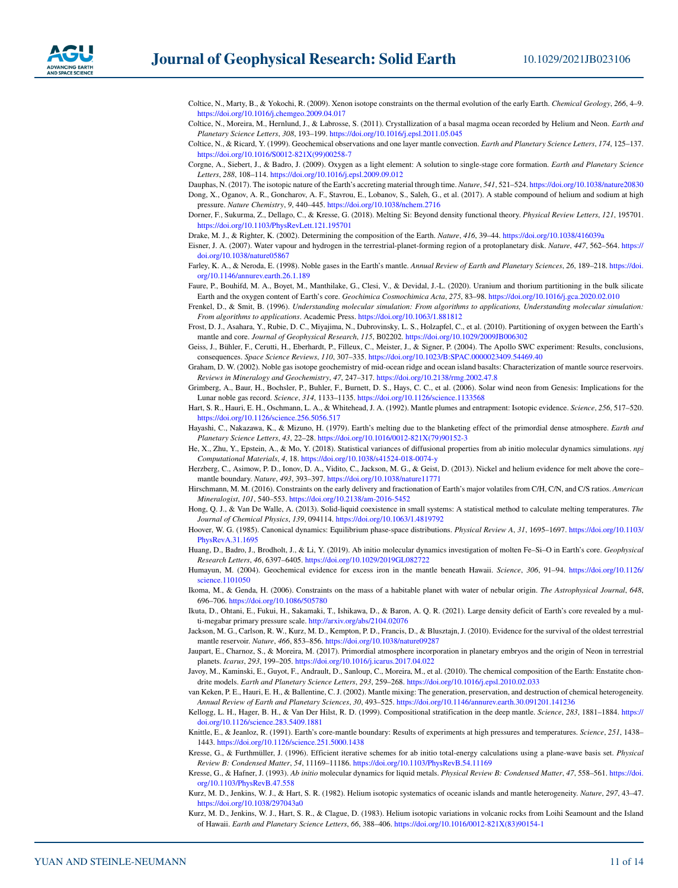- <span id="page-10-34"></span>Coltice, N., Marty, B., & Yokochi, R. (2009). Xenon isotope constraints on the thermal evolution of the early Earth. *Chemical Geology*, *266*, 4–9. <https://doi.org/10.1016/j.chemgeo.2009.04.017>
- <span id="page-10-33"></span>Coltice, N., Moreira, M., Hernlund, J., & Labrosse, S. (2011). Crystallization of a basal magma ocean recorded by Helium and Neon. *Earth and Planetary Science Letters*, *308*, 193–199.<https://doi.org/10.1016/j.epsl.2011.05.045>
- <span id="page-10-7"></span>Coltice, N., & Ricard, Y. (1999). Geochemical observations and one layer mantle convection. *Earth and Planetary Science Letters*, *174*, 125–137. [https://doi.org/10.1016/S0012-821X\(99\)00258-7](https://doi.org/10.1016/S0012-821X(99)00258-7)
- <span id="page-10-35"></span>Corgne, A., Siebert, J., & Badro, J. (2009). Oxygen as a light element: A solution to single-stage core formation. *Earth and Planetary Science Letters*, *288*, 108–114. <https://doi.org/10.1016/j.epsl.2009.09.012>
- <span id="page-10-29"></span><span id="page-10-22"></span>Dauphas, N. (2017). The isotopic nature of the Earth's accreting material through time. *Nature*, *541*, 521–524.<https://doi.org/10.1038/nature20830> Dong, X., Oganov, A. R., Goncharov, A. F., Stavrou, E., Lobanov, S., Saleh, G., et al. (2017). A stable compound of helium and sodium at high pressure. *Nature Chemistry*, *9*, 440–445.<https://doi.org/10.1038/nchem.2716>
- <span id="page-10-15"></span>Dorner, F., Sukurma, Z., Dellago, C., & Kresse, G. (2018). Melting Si: Beyond density functional theory. *Physical Review Letters*, *121*, 195701. <https://doi.org/10.1103/PhysRevLett.121.195701>

<span id="page-10-28"></span>Drake, M. J., & Righter, K. (2002). Determining the composition of the Earth. *Nature*, *416*, 39–44. <https://doi.org/10.1038/416039a>

- <span id="page-10-30"></span>Eisner, J. A. (2007). Water vapour and hydrogen in the terrestrial-planet-forming region of a protoplanetary disk. *Nature*, *447*, 562–564. [https://](https://doi.org/10.1038/nature05867) [doi.org/10.1038/nature05867](https://doi.org/10.1038/nature05867)
- <span id="page-10-1"></span>Farley, K. A., & Neroda, E. (1998). Noble gases in the Earth's mantle. *Annual Review of Earth and Planetary Sciences*, *26*, 189–218. [https://doi.](https://doi.org/10.1146/annurev.earth.26.1.189) [org/10.1146/annurev.earth.26.1.189](https://doi.org/10.1146/annurev.earth.26.1.189)
- <span id="page-10-11"></span>Faure, P., Bouhifd, M. A., Boyet, M., Manthilake, G., Clesi, V., & Devidal, J.-L. (2020). Uranium and thorium partitioning in the bulk silicate Earth and the oxygen content of Earth's core. *Geochimica Cosmochimica Acta*, *275*, 83–98.<https://doi.org/10.1016/j.gca.2020.02.010>
- <span id="page-10-19"></span>Frenkel, D., & Smit, B. (1996). *Understanding molecular simulation: From algorithms to applications, Understanding molecular simulation: From algorithms to applications*. Academic Press. <https://doi.org/10.1063/1.881812>
- <span id="page-10-21"></span>Frost, D. J., Asahara, Y., Rubie, D. C., Miyajima, N., Dubrovinsky, L. S., Holzapfel, C., et al. (2010). Partitioning of oxygen between the Earth's mantle and core. *Journal of Geophysical Research*, *115*, B02202.<https://doi.org/10.1029/2009JB006302>
- <span id="page-10-31"></span>Geiss, J., Bühler, F., Cerutti, H., Eberhardt, P., Filleux, C., Meister, J., & Signer, P. (2004). The Apollo SWC experiment: Results, conclusions, consequences. *Space Science Reviews*, *110*, 307–335. <https://doi.org/10.1023/B:SPAC.0000023409.54469.40>
- <span id="page-10-2"></span>Graham, D. W. (2002). Noble gas isotope geochemistry of mid-ocean ridge and ocean island basalts: Characterization of mantle source reservoirs. *Reviews in Mineralogy and Geochemistry*, *47*, 247–317. <https://doi.org/10.2138/rmg.2002.47.8>
- <span id="page-10-32"></span>Grimberg, A., Baur, H., Bochsler, P., Buhler, F., Burnett, D. S., Hays, C. C., et al. (2006). Solar wind neon from Genesis: Implications for the Lunar noble gas record. *Science*, *314*, 1133–1135. <https://doi.org/10.1126/science.1133568>

<span id="page-10-5"></span>Hart, S. R., Hauri, E. H., Oschmann, L. A., & Whitehead, J. A. (1992). Mantle plumes and entrapment: Isotopic evidence. *Science*, *256*, 517–520. <https://doi.org/10.1126/science.256.5056.517>

- <span id="page-10-25"></span>Hayashi, C., Nakazawa, K., & Mizuno, H. (1979). Earth's melting due to the blanketing effect of the primordial dense atmosphere. *Earth and Planetary Science Letters*, *43*, 22–28. [https://doi.org/10.1016/0012-821X\(79\)90152-3](https://doi.org/10.1016/0012-821X(79)90152-3)
- <span id="page-10-16"></span>He, X., Zhu, Y., Epstein, A., & Mo, Y. (2018). Statistical variances of diffusional properties from ab initio molecular dynamics simulations. *npj Computational Materials*, *4*, 18. <https://doi.org/10.1038/s41524-018-0074-y>
- <span id="page-10-8"></span>Herzberg, C., Asimow, P. D., Ionov, D. A., Vidito, C., Jackson, M. G., & Geist, D. (2013). Nickel and helium evidence for melt above the core– mantle boundary. *Nature*, *493*, 393–397.<https://doi.org/10.1038/nature11771>
- <span id="page-10-24"></span>Hirschmann, M. M. (2016). Constraints on the early delivery and fractionation of Earth's major volatiles from C/H, C/N, and C/S ratios. *American Mineralogist*, *101*, 540–553.<https://doi.org/10.2138/am-2016-5452>
- <span id="page-10-18"></span>Hong, Q. J., & Van De Walle, A. (2013). Solid-liquid coexistence in small systems: A statistical method to calculate melting temperatures. *The Journal of Chemical Physics*, *139*, 094114. <https://doi.org/10.1063/1.4819792>
- <span id="page-10-14"></span>Hoover, W. G. (1985). Canonical dynamics: Equilibrium phase-space distributions. *Physical Review A*, *31*, 1695–1697. [https://doi.org/10.1103/](https://doi.org/10.1103/PhysRevA.31.1695) [PhysRevA.31.1695](https://doi.org/10.1103/PhysRevA.31.1695)
- <span id="page-10-17"></span>Huang, D., Badro, J., Brodholt, J., & Li, Y. (2019). Ab initio molecular dynamics investigation of molten Fe–Si–O in Earth's core. *Geophysical Research Letters*, *46*, 6397–6405.<https://doi.org/10.1029/2019GL082722>

<span id="page-10-10"></span>Humayun, M. (2004). Geochemical evidence for excess iron in the mantle beneath Hawaii. *Science*, *306*, 91–94. [https://doi.org/10.1126/](https://doi.org/10.1126/science.1101050) [science.1101050](https://doi.org/10.1126/science.1101050)

- <span id="page-10-26"></span>Ikoma, M., & Genda, H. (2006). Constraints on the mass of a habitable planet with water of nebular origin. *The Astrophysical Journal*, *648*, 696–706. <https://doi.org/10.1086/505780>
- <span id="page-10-36"></span>Ikuta, D., Ohtani, E., Fukui, H., Sakamaki, T., Ishikawa, D., & Baron, A. Q. R. (2021). Large density deficit of Earth's core revealed by a multi-megabar primary pressure scale. <http://arxiv.org/abs/2104.02076>
- <span id="page-10-0"></span>Jackson, M. G., Carlson, R. W., Kurz, M. D., Kempton, P. D., Francis, D., & Blusztajn, J. (2010). Evidence for the survival of the oldest terrestrial mantle reservoir. *Nature*, *466*, 853–856.<https://doi.org/10.1038/nature09287>
- <span id="page-10-27"></span>Jaupart, E., Charnoz, S., & Moreira, M. (2017). Primordial atmosphere incorporation in planetary embryos and the origin of Neon in terrestrial planets. *Icarus*, *293*, 199–205. <https://doi.org/10.1016/j.icarus.2017.04.022>
- <span id="page-10-23"></span>Javoy, M., Kaminski, E., Guyot, F., Andrault, D., Sanloup, C., Moreira, M., et al. (2010). The chemical composition of the Earth: Enstatite chondrite models. *Earth and Planetary Science Letters*, *293*, 259–268. <https://doi.org/10.1016/j.epsl.2010.02.033>
- <span id="page-10-9"></span>van Keken, P. E., Hauri, E. H., & Ballentine, C. J. (2002). Mantle mixing: The generation, preservation, and destruction of chemical heterogeneity. *Annual Review of Earth and Planetary Sciences*, *30*, 493–525. <https://doi.org/10.1146/annurev.earth.30.091201.141236>
- <span id="page-10-6"></span>Kellogg, L. H., Hager, B. H., & Van Der Hilst, R. D. (1999). Compositional stratification in the deep mantle. *Science*, *283*, 1881–1884. [https://](https://doi.org/10.1126/science.283.5409.1881) [doi.org/10.1126/science.283.5409.1881](https://doi.org/10.1126/science.283.5409.1881)

<span id="page-10-20"></span>Knittle, E., & Jeanloz, R. (1991). Earth's core-mantle boundary: Results of experiments at high pressures and temperatures. *Science*, *251*, 1438– 1443.<https://doi.org/10.1126/science.251.5000.1438>

- <span id="page-10-13"></span>Kresse, G., & Furthmüller, J. (1996). Efficient iterative schemes for ab initio total-energy calculations using a plane-wave basis set. *Physical Review B: Condensed Matter*, *54*, 11169–11186.<https://doi.org/10.1103/PhysRevB.54.11169>
- <span id="page-10-12"></span>Kresse, G., & Hafner, J. (1993). *Ab initio* molecular dynamics for liquid metals. *Physical Review B: Condensed Matter*, *47*, 558–561. [https://doi.](https://doi.org/10.1103/PhysRevB.47.558) [org/10.1103/PhysRevB.47.558](https://doi.org/10.1103/PhysRevB.47.558)
- <span id="page-10-4"></span>Kurz, M. D., Jenkins, W. J., & Hart, S. R. (1982). Helium isotopic systematics of oceanic islands and mantle heterogeneity. *Nature*, *297*, 43–47. <https://doi.org/10.1038/297043a0>
- <span id="page-10-3"></span>Kurz, M. D., Jenkins, W. J., Hart, S. R., & Clague, D. (1983). Helium isotopic variations in volcanic rocks from Loihi Seamount and the Island of Hawaii. *Earth and Planetary Science Letters*, *66*, 388–406. [https://doi.org/10.1016/0012-821X\(83\)90154-1](https://doi.org/10.1016/0012-821X(83)90154-1)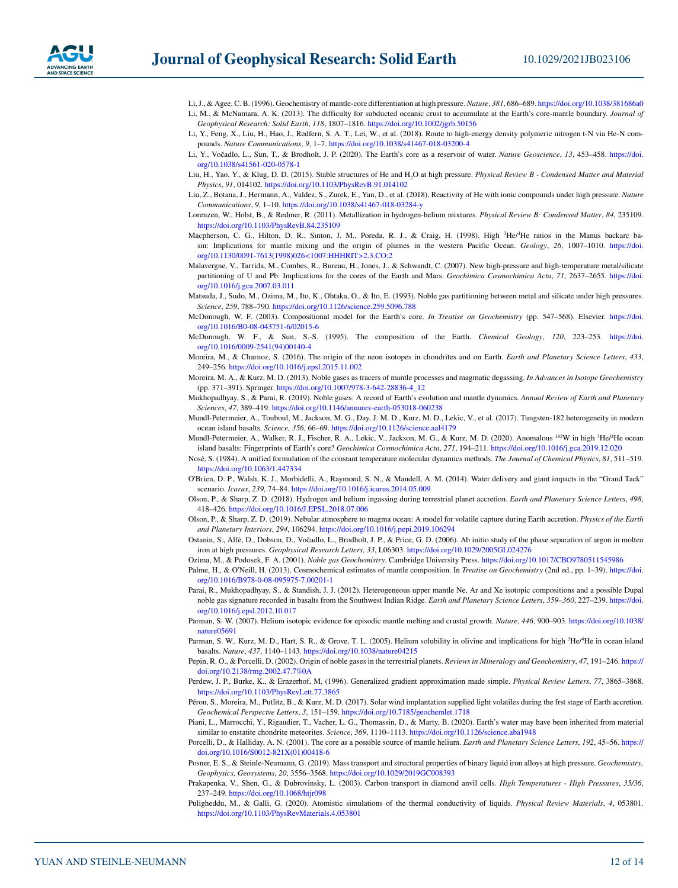- <span id="page-11-31"></span><span id="page-11-8"></span>Li, J., & Agee, C. B. (1996). Geochemistry of mantle-core differentiation at high pressure. *Nature*, *381*, 686–689.<https://doi.org/10.1038/381686a0> Li, M., & McNamara, A. K. (2013). The difficulty for subducted oceanic crust to accumulate at the Earth's core-mantle boundary. *Journal of Geophysical Research: Solid Earth*, *118*, 1807–1816. <https://doi.org/10.1002/jgrb.50156>
- <span id="page-11-21"></span>Li, Y., Feng, X., Liu, H., Hao, J., Redfern, S. A. T., Lei, W., et al. (2018). Route to high-energy density polymeric nitrogen t-N via He-N compounds. *Nature Communications*, *9*, 1–7. <https://doi.org/10.1038/s41467-018-03200-4>
- <span id="page-11-18"></span>Li, Y., Vočadlo, L., Sun, T., & Brodholt, J. P. (2020). The Earth's core as a reservoir of water. *Nature Geoscience*, *13*, 453–458. [https://doi.](https://doi.org/10.1038/s41561-020-0578-1) [org/10.1038/s41561-020-0578-1](https://doi.org/10.1038/s41561-020-0578-1)
- <span id="page-11-20"></span>Liu, H., Yao, Y., & Klug, D. D. (2015). Stable structures of He and H2O at high pressure. *Physical Review B - Condensed Matter and Material Physics*, *91*, 014102. <https://doi.org/10.1103/PhysRevB.91.014102>
- <span id="page-11-19"></span>Liu, Z., Botana, J., Hermann, A., Valdez, S., Zurek, E., Yan, D., et al. (2018). Reactivity of He with ionic compounds under high pressure. *Nature Communications*, *9*, 1–10.<https://doi.org/10.1038/s41467-018-03284-y>
- <span id="page-11-17"></span>Lorenzen, W., Holst, B., & Redmer, R. (2011). Metallization in hydrogen-helium mixtures. *Physical Review B: Condensed Matter*, *84*, 235109. <https://doi.org/10.1103/PhysRevB.84.235109>
- <span id="page-11-5"></span>Macpherson, C. G., Hilton, D. R., Sinton, J. M., Poreda, R. J., & Craig, H. (1998). High <sup>3</sup>He/<sup>4</sup>He ratios in the Manus backarc basin: Implications for mantle mixing and the origin of plumes in the western Pacific Ocean. *Geology*, *26*, 1007–1010. [https://doi.](https://doi.org/10.1130/0091-7613(1998)026%3C1007:HHHRIT%3E2.3.CO;2) [org/10.1130/0091-7613\(1998\)026<1007:HHHRIT>2.3.CO;2](https://doi.org/10.1130/0091-7613(1998)026%3C1007:HHHRIT%3E2.3.CO;2)
- <span id="page-11-33"></span>Malavergne, V., Tarrida, M., Combes, R., Bureau, H., Jones, J., & Schwandt, C. (2007). New high-pressure and high-temperature metal/silicate partitioning of U and Pb: Implications for the cores of the Earth and Mars. *Geochimica Cosmochimica Acta*, *71*, 2637–2655. [https://doi.](https://doi.org/10.1016/j.gca.2007.03.011) [org/10.1016/j.gca.2007.03.011](https://doi.org/10.1016/j.gca.2007.03.011)
- <span id="page-11-10"></span>Matsuda, J., Sudo, M., Ozima, M., Ito, K., Ohtaka, O., & Ito, E. (1993). Noble gas partitioning between metal and silicate under high pressures. *Science*, *259*, 788–790. <https://doi.org/10.1126/science.259.5096.788>
- <span id="page-11-34"></span>McDonough, W. F. (2003). Compositional model for the Earth's core. *In Treatise on Geochemistry* (pp. 547–568). Elsevier. [https://doi.](https://doi.org/10.1016/B0-08-043751-6/02015-6) [org/10.1016/B0-08-043751-6/02015-6](https://doi.org/10.1016/B0-08-043751-6/02015-6)
- <span id="page-11-22"></span>McDonough, W. F., & Sun, S.-S. (1995). The composition of the Earth. *Chemical Geology*, *120*, 223–253. [https://doi.](https://doi.org/10.1016/0009-2541(94)00140-4) [org/10.1016/0009-2541\(94\)00140-4](https://doi.org/10.1016/0009-2541(94)00140-4)
- <span id="page-11-28"></span>Moreira, M., & Charnoz, S. (2016). The origin of the neon isotopes in chondrites and on Earth. *Earth and Planetary Science Letters*, *433*, 249–256. <https://doi.org/10.1016/j.epsl.2015.11.002>
- <span id="page-11-30"></span>Moreira, M. A., & Kurz, M. D. (2013). Noble gases as tracers of mantle processes and magmatic degassing. *In Advances in Isotope Geochemistry* (pp. 371–391). Springer. [https://doi.org/10.1007/978-3-642-28836-4\\_12](https://doi.org/10.1007/978-3-642-28836-4_12)
- <span id="page-11-3"></span>Mukhopadhyay, S., & Parai, R. (2019). Noble gases: A record of Earth's evolution and mantle dynamics. *Annual Review of Earth and Planetary Sciences*, *47*, 389–419.<https://doi.org/10.1146/annurev-earth-053018-060238>
- <span id="page-11-6"></span>Mundl-Petermeier, A., Touboul, M., Jackson, M. G., Day, J. M. D., Kurz, M. D., Lekic, V., et al. (2017). Tungsten-182 heterogeneity in modern ocean island basalts. *Science*, *356*, 66–69. <https://doi.org/10.1126/science.aal4179>
- <span id="page-11-7"></span>Mundl-Petermeier, A., Walker, R. J., Fischer, R. A., Lekic, V., Jackson, M. G., & Kurz, M. D. (2020). Anomalous <sup>182</sup>W in high <sup>3</sup>He/<sup>4</sup>He ocean island basalts: Fingerprints of Earth's core? *Geochimica Cosmochimica Acta*, *271*, 194–211.<https://doi.org/10.1016/j.gca.2019.12.020>
- <span id="page-11-13"></span>Nosé, S. (1984). A unified formulation of the constant temperature molecular dynamics methods. *The Journal of Chemical Physics*, *81*, 511–519. <https://doi.org/10.1063/1.447334>
- <span id="page-11-26"></span>O'Brien, D. P., Walsh, K. J., Morbidelli, A., Raymond, S. N., & Mandell, A. M. (2014). Water delivery and giant impacts in the "Grand Tack" scenario. *Icarus*, *239*, 74–84.<https://doi.org/10.1016/j.icarus.2014.05.009>
- <span id="page-11-24"></span>Olson, P., & Sharp, Z. D. (2018). Hydrogen and helium ingassing during terrestrial planet accretion. *Earth and Planetary Science Letters*, *498*, 418–426. <https://doi.org/10.1016/J.EPSL.2018.07.006>
- <span id="page-11-25"></span>Olson, P., & Sharp, Z. D. (2019). Nebular atmosphere to magma ocean: A model for volatile capture during Earth accretion. *Physics of the Earth and Planetary Interiors*, *294*, 106294.<https://doi.org/10.1016/j.pepi.2019.106294>
- <span id="page-11-16"></span>Ostanin, S., Alfè, D., Dobson, D., Vočadlo, L., Brodholt, J. P., & Price, G. D. (2006). Ab initio study of the phase separation of argon in molten iron at high pressures. *Geophysical Research Letters*, *33*, L06303. <https://doi.org/10.1029/2005GL024276>
- <span id="page-11-32"></span>Ozima, M., & Podosek, F. A. (2001). *Noble gas Geochemistry*. Cambridge University Press. <https://doi.org/10.1017/CBO9780511545986>
- <span id="page-11-23"></span>Palme, H., & O'Neill, H. (2013). Cosmochemical estimates of mantle composition. In *Treatise on Geochemistry* (2nd ed., pp. 1–39). [https://doi.](https://doi.org/10.1016/B978-0-08-095975-7.00201-1) [org/10.1016/B978-0-08-095975-7.00201-1](https://doi.org/10.1016/B978-0-08-095975-7.00201-1)
- <span id="page-11-4"></span>Parai, R., Mukhopadhyay, S., & Standish, J. J. (2012). Heterogeneous upper mantle Ne, Ar and Xe isotopic compositions and a possible Dupal noble gas signature recorded in basalts from the Southwest Indian Ridge. *Earth and Planetary Science Letters*, *359–360*, 227–239. [https://doi.](https://doi.org/10.1016/j.epsl.2012.10.017) [org/10.1016/j.epsl.2012.10.017](https://doi.org/10.1016/j.epsl.2012.10.017)
- <span id="page-11-1"></span>Parman, S. W. (2007). Helium isotopic evidence for episodic mantle melting and crustal growth. *Nature*, *446*, 900–903. [https://doi.org/10.1038/](https://doi.org/10.1038/nature05691) [nature05691](https://doi.org/10.1038/nature05691)
- <span id="page-11-2"></span>Parman, S. W., Kurz, M. D., Hart, S. R., & Grove, T. L. (2005). Helium solubility in olivine and implications for high <sup>3</sup>He/<sup>4</sup>He in ocean island basalts. *Nature*, *437*, 1140–1143.<https://doi.org/10.1038/nature04215>
- <span id="page-11-0"></span>Pepin, R. O., & Porcelli, D. (2002). Origin of noble gases in the terrestrial planets. *Reviews in Mineralogy and Geochemistry*, *47*, 191–246. [https://](https://doi.org/10.2138/rmg.2002.47.7%0A) [doi.org/10.2138/rmg.2002.47.7%0A](https://doi.org/10.2138/rmg.2002.47.7%0A)
- <span id="page-11-12"></span>Perdew, J. P., Burke, K., & Ernzerhof, M. (1996). Generalized gradient approximation made simple. *Physical Review Letters*, *77*, 3865–3868. <https://doi.org/10.1103/PhysRevLett.77.3865>
- <span id="page-11-29"></span>Péron, S., Moreira, M., Putlitz, B., & Kurz, M. D. (2017). Solar wind implantation supplied light volatiles during the frst stage of Earth accretion. *Geochemical Perspectve Letters*, *3*, 151–159. <https://doi.org/10.7185/geochemlet.1718>
- <span id="page-11-27"></span>Piani, L., Marrocchi, Y., Rigaudier, T., Vacher, L. G., Thomassin, D., & Marty, B. (2020). Earth's water may have been inherited from material similar to enstatite chondrite meteorites. *Science*, 369, 1110–1113.<https://doi.org/10.1126/science.aba1948>
- <span id="page-11-9"></span>Porcelli, D., & Halliday, A. N. (2001). The core as a possible source of mantle helium. *Earth and Planetary Science Letters*, *192*, 45–56. [https://](https://doi.org/10.1016/S0012-821X(01)00418-6) [doi.org/10.1016/S0012-821X\(01\)00418-6](https://doi.org/10.1016/S0012-821X(01)00418-6)
- <span id="page-11-15"></span>Posner, E. S., & Steinle-Neumann, G. (2019). Mass transport and structural properties of binary liquid iron alloys at high pressure. *Geochemistry, Geophysics, Geosystems*, *20*, 3556–3568.<https://doi.org/10.1029/2019GC008393>
- <span id="page-11-11"></span>Prakapenka, V., Shen, G., & Dubrovinsky, L. (2003). Carbon transport in diamond anvil cells. *High Temperatures - High Pressures*, *35/36*, 237–249. <https://doi.org/10.1068/htjr098>
- <span id="page-11-14"></span>Puligheddu, M., & Galli, G. (2020). Atomistic simulations of the thermal conductivity of liquids. *Physical Review Materials*, *4*, 053801. <https://doi.org/10.1103/PhysRevMaterials.4.053801>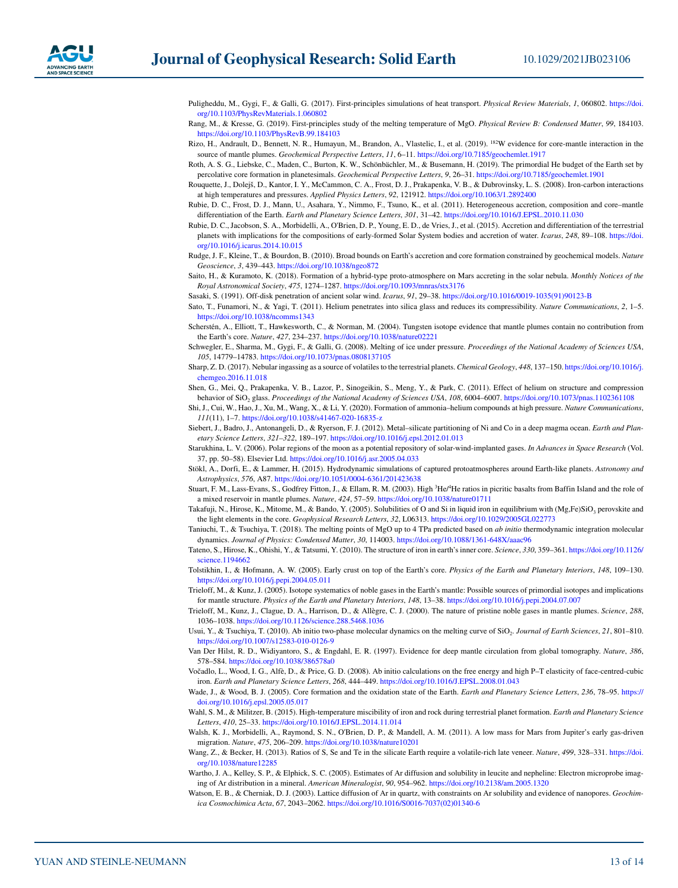- <span id="page-12-15"></span>Puligheddu, M., Gygi, F., & Galli, G. (2017). First-principles simulations of heat transport. *Physical Review Materials*, *1*, 060802. [https://doi.](https://doi.org/10.1103/PhysRevMaterials.1.060802) [org/10.1103/PhysRevMaterials.1.060802](https://doi.org/10.1103/PhysRevMaterials.1.060802)
- <span id="page-12-18"></span>Rang, M., & Kresse, G. (2019). First-principles study of the melting temperature of MgO. *Physical Review B: Condensed Matter*, *99*, 184103. <https://doi.org/10.1103/PhysRevB.99.184103>
- <span id="page-12-5"></span>Rizo, H., Andrault, D., Bennett, N. R., Humayun, M., Brandon, A., Vlastelic, I., et al. (2019). 182W evidence for core-mantle interaction in the source of mantle plumes. *Geochemical Perspective Letters*, *11*, 6–11. <https://doi.org/10.7185/geochemlet.1917>
- <span id="page-12-3"></span>Roth, A. S. G., Liebske, C., Maden, C., Burton, K. W., Schönbächler, M., & Busemann, H. (2019). The primordial He budget of the Earth set by percolative core formation in planetesimals. *Geochemical Perspective Letters*, *9*, 26–31.<https://doi.org/10.7185/geochemlet.1901>
- <span id="page-12-12"></span>Rouquette, J., Dolejš, D., Kantor, I. Y., McCammon, C. A., Frost, D. J., Prakapenka, V. B., & Dubrovinsky, L. S. (2008). Iron-carbon interactions at high temperatures and pressures. *Applied Physics Letters*, *92*, 121912.<https://doi.org/10.1063/1.2892400>
- <span id="page-12-31"></span>Rubie, D. C., Frost, D. J., Mann, U., Asahara, Y., Nimmo, F., Tsuno, K., et al. (2011). Heterogeneous accretion, composition and core–mantle differentiation of the Earth. *Earth and Planetary Science Letters*, *301*, 31–42. <https://doi.org/10.1016/J.EPSL.2010.11.030>
- <span id="page-12-34"></span>Rubie, D. C., Jacobson, S. A., Morbidelli, A., O'Brien, D. P., Young, E. D., de Vries, J., et al. (2015). Accretion and differentiation of the terrestrial planets with implications for the compositions of early-formed Solar System bodies and accretion of water. *Icarus*, *248*, 89–108. [https://doi.](https://doi.org/10.1016/j.icarus.2014.10.015) [org/10.1016/j.icarus.2014.10.015](https://doi.org/10.1016/j.icarus.2014.10.015)
- <span id="page-12-32"></span>Rudge, J. F., Kleine, T., & Bourdon, B. (2010). Broad bounds on Earth's accretion and core formation constrained by geochemical models. *Nature Geoscience*, *3*, 439–443. <https://doi.org/10.1038/ngeo872>
- <span id="page-12-24"></span>Saito, H., & Kuramoto, K. (2018). Formation of a hybrid-type proto-atmosphere on Mars accreting in the solar nebula. *Monthly Notices of the Royal Astronomical Society*, *475*, 1274–1287. <https://doi.org/10.1093/mnras/stx3176>
- <span id="page-12-28"></span>Sasaki, S. (1991). Off-disk penetration of ancient solar wind. *Icarus*, *91*, 29–38. [https://doi.org/10.1016/0019-1035\(91\)90123-B](https://doi.org/10.1016/0019-1035(91)90123-B)
- <span id="page-12-8"></span>Sato, T., Funamori, N., & Yagi, T. (2011). Helium penetrates into silica glass and reduces its compressibility. *Nature Communications*, *2*, 1–5. <https://doi.org/10.1038/ncomms1343>
- <span id="page-12-6"></span>Scherstén, A., Elliott, T., Hawkesworth, C., & Norman, M. (2004). Tungsten isotope evidence that mantle plumes contain no contribution from the Earth's core. *Nature*, *427*, 234–237.<https://doi.org/10.1038/nature02221>
- <span id="page-12-13"></span>Schwegler, E., Sharma, M., Gygi, F., & Galli, G. (2008). Melting of ice under pressure. *Proceedings of the National Academy of Sciences USA*, *105*, 14779–14783. <https://doi.org/10.1073/pnas.0808137105>
- <span id="page-12-23"></span>Sharp, Z. D. (2017). Nebular ingassing as a source of volatiles to the terrestrial planets. *Chemical Geology*, *448*, 137–150. [https://doi.org/10.1016/j.](https://doi.org/10.1016/j.chemgeo.2016.11.018) [chemgeo.2016.11.018](https://doi.org/10.1016/j.chemgeo.2016.11.018)
- <span id="page-12-9"></span>Shen, G., Mei, Q., Prakapenka, V. B., Lazor, P., Sinogeikin, S., Meng, Y., & Park, C. (2011). Effect of helium on structure and compression behavior of SiO2 glass. *Proceedings of the National Academy of Sciences USA*, *108*, 6004–6007. <https://doi.org/10.1073/pnas.1102361108>
- <span id="page-12-22"></span>Shi, J., Cui, W., Hao, J., Xu, M., Wang, X., & Li, Y. (2020). Formation of ammonia–helium compounds at high pressure. *Nature Communications*, *111*(11), 1–7. <https://doi.org/10.1038/s41467-020-16835-z>
- <span id="page-12-7"></span>Siebert, J., Badro, J., Antonangeli, D., & Ryerson, F. J. (2012). Metal–silicate partitioning of Ni and Co in a deep magma ocean. *Earth and Planetary Science Letters*, *321–322*, 189–197. <https://doi.org/10.1016/j.epsl.2012.01.013>
- <span id="page-12-30"></span>Starukhina, L. V. (2006). Polar regions of the moon as a potential repository of solar-wind-implanted gases. *In Advances in Space Research* (Vol. 37, pp. 50–58). Elsevier Ltd.<https://doi.org/10.1016/j.asr.2005.04.033>
- <span id="page-12-25"></span>Stökl, A., Dorfi, E., & Lammer, H. (2015). Hydrodynamic simulations of captured protoatmospheres around Earth-like planets. *Astronomy and Astrophysics*, *576*, A87.<https://doi.org/10.1051/0004-6361/201423638>
- <span id="page-12-0"></span>Stuart, F. M., Lass-Evans, S., Godfrey Fitton, J., & Ellam, R. M. (2003). High <sup>3</sup>He/<sup>4</sup>He ratios in picritic basalts from Baffin Island and the role of a mixed reservoir in mantle plumes. *Nature*, *424*, 57–59. <https://doi.org/10.1038/nature01711>
- <span id="page-12-20"></span>Takafuji, N., Hirose, K., Mitome, M., & Bando, Y. (2005). Solubilities of O and Si in liquid iron in equilibrium with (Mg,Fe)SiO<sub>3</sub> perovskite and the light elements in the core. *Geophysical Research Letters*, *32*, L06313.<https://doi.org/10.1029/2005GL022773>
- <span id="page-12-19"></span>Taniuchi, T., & Tsuchiya, T. (2018). The melting points of MgO up to 4 TPa predicted based on *ab initio* thermodynamic integration molecular dynamics. *Journal of Physics: Condensed Matter*, *30*, 114003. <https://doi.org/10.1088/1361-648X/aaac96>
- <span id="page-12-21"></span>Tateno, S., Hirose, K., Ohishi, Y., & Tatsumi, Y. (2010). The structure of iron in earth's inner core. *Science*, *330*, 359–361. [https://doi.org/10.1126/](https://doi.org/10.1126/science.1194662) [science.1194662](https://doi.org/10.1126/science.1194662)
- <span id="page-12-1"></span>Tolstikhin, I., & Hofmann, A. W. (2005). Early crust on top of the Earth's core. *Physics of the Earth and Planetary Interiors*, *148*, 109–130. <https://doi.org/10.1016/j.pepi.2004.05.011>
- <span id="page-12-4"></span>Trieloff, M., & Kunz, J. (2005). Isotope systematics of noble gases in the Earth's mantle: Possible sources of primordial isotopes and implications for mantle structure. *Physics of the Earth and Planetary Interiors*, *148*, 13–38.<https://doi.org/10.1016/j.pepi.2004.07.007>
- <span id="page-12-29"></span>Trieloff, M., Kunz, J., Clague, D. A., Harrison, D., & Allègre, C. J. (2000). The nature of pristine noble gases in mantle plumes. *Science*, *288*, 1036–1038. <https://doi.org/10.1126/science.288.5468.1036>
- <span id="page-12-14"></span>Usui, Y., & Tsuchiya, T. (2010). Ab initio two-phase molecular dynamics on the melting curve of SiO<sub>2</sub>. *Journal of Earth Sciences*, 21, 801-810. <https://doi.org/10.1007/s12583-010-0126-9>
- <span id="page-12-2"></span>Van Der Hilst, R. D., Widiyantoro, S., & Engdahl, E. R. (1997). Evidence for deep mantle circulation from global tomography. *Nature*, *386*, 578–584. <https://doi.org/10.1038/386578a0>
- <span id="page-12-16"></span>Vočadlo, L., Wood, I. G., Alfè, D., & Price, G. D. (2008). Ab initio calculations on the free energy and high P–T elasticity of face-centred-cubic iron. *Earth and Planetary Science Letters*, *268*, 444–449. <https://doi.org/10.1016/J.EPSL.2008.01.043>
- <span id="page-12-33"></span>Wade, J., & Wood, B. J. (2005). Core formation and the oxidation state of the Earth. *Earth and Planetary Science Letters*, *236*, 78–95. [https://](https://doi.org/10.1016/j.epsl.2005.05.017) [doi.org/10.1016/j.epsl.2005.05.017](https://doi.org/10.1016/j.epsl.2005.05.017)
- <span id="page-12-17"></span>Wahl, S. M., & Militzer, B. (2015). High-temperature miscibility of iron and rock during terrestrial planet formation. *Earth and Planetary Science Letters*, *410*, 25–33. <https://doi.org/10.1016/J.EPSL.2014.11.014>
- <span id="page-12-27"></span>Walsh, K. J., Morbidelli, A., Raymond, S. N., O'Brien, D. P., & Mandell, A. M. (2011). A low mass for Mars from Jupiter's early gas-driven migration. *Nature*, *475*, 206–209.<https://doi.org/10.1038/nature10201>
- <span id="page-12-26"></span>Wang, Z., & Becker, H. (2013). Ratios of S, Se and Te in the silicate Earth require a volatile-rich late veneer. *Nature*, *499*, 328–331. [https://doi.](https://doi.org/10.1038/nature12285) [org/10.1038/nature12285](https://doi.org/10.1038/nature12285)
- <span id="page-12-11"></span>Wartho, J. A., Kelley, S. P., & Elphick, S. C. (2005). Estimates of Ar diffusion and solubility in leucite and nepheline: Electron microprobe imaging of Ar distribution in a mineral. *American Mineralogist*, *90*, 954–962.<https://doi.org/10.2138/am.2005.1320>
- <span id="page-12-10"></span>Watson, E. B., & Cherniak, D. J. (2003). Lattice diffusion of Ar in quartz, with constraints on Ar solubility and evidence of nanopores. *Geochimica Cosmochimica Acta*, *67*, 2043–2062. [https://doi.org/10.1016/S0016-7037\(02\)01340-6](https://doi.org/10.1016/S0016-7037(02)01340-6)